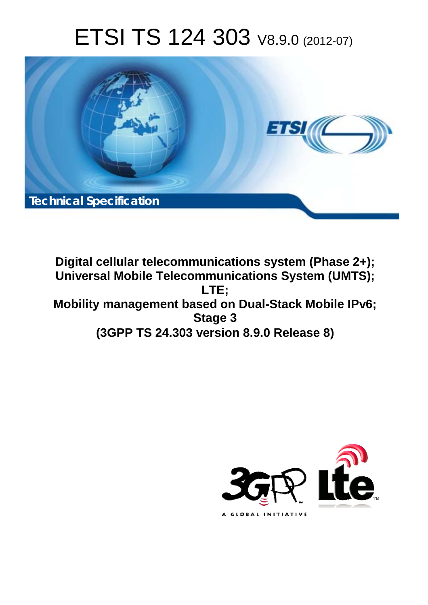# ETSI TS 124 303 V8.9.0 (2012-07)



**Digital cellular telecommunications system (Phase 2+); Universal Mobile Telecommunications System (UMTS); LTE; Mobility management based on Dual-Stack Mobile IPv6; Stage 3 (3GPP TS 24.303 version 8.9.0 Release 8)** 

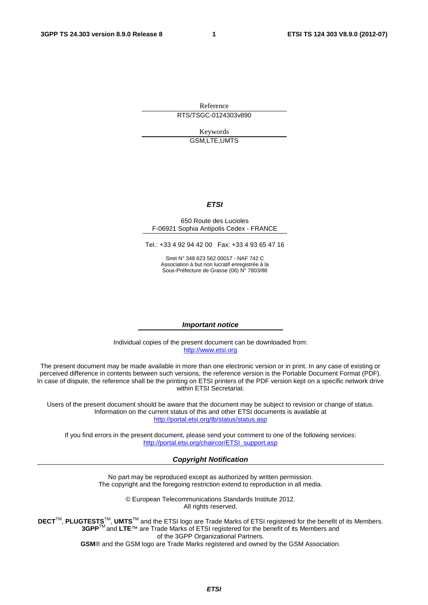Reference RTS/TSGC-0124303v890

> Keywords GSM,LTE,UMTS

#### *ETSI*

#### 650 Route des Lucioles F-06921 Sophia Antipolis Cedex - FRANCE

Tel.: +33 4 92 94 42 00 Fax: +33 4 93 65 47 16

Siret N° 348 623 562 00017 - NAF 742 C Association à but non lucratif enregistrée à la Sous-Préfecture de Grasse (06) N° 7803/88

#### *Important notice*

Individual copies of the present document can be downloaded from: [http://www.etsi.org](http://www.etsi.org/)

The present document may be made available in more than one electronic version or in print. In any case of existing or perceived difference in contents between such versions, the reference version is the Portable Document Format (PDF). In case of dispute, the reference shall be the printing on ETSI printers of the PDF version kept on a specific network drive within ETSI Secretariat.

Users of the present document should be aware that the document may be subject to revision or change of status. Information on the current status of this and other ETSI documents is available at <http://portal.etsi.org/tb/status/status.asp>

If you find errors in the present document, please send your comment to one of the following services: [http://portal.etsi.org/chaircor/ETSI\\_support.asp](http://portal.etsi.org/chaircor/ETSI_support.asp)

#### *Copyright Notification*

No part may be reproduced except as authorized by written permission. The copyright and the foregoing restriction extend to reproduction in all media.

> © European Telecommunications Standards Institute 2012. All rights reserved.

**DECT**TM, **PLUGTESTS**TM, **UMTS**TM and the ETSI logo are Trade Marks of ETSI registered for the benefit of its Members. **3GPP**TM and **LTE**™ are Trade Marks of ETSI registered for the benefit of its Members and of the 3GPP Organizational Partners.

**GSM**® and the GSM logo are Trade Marks registered and owned by the GSM Association.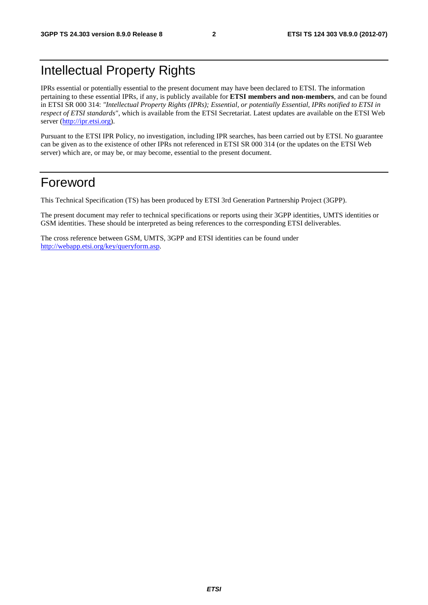### Intellectual Property Rights

IPRs essential or potentially essential to the present document may have been declared to ETSI. The information pertaining to these essential IPRs, if any, is publicly available for **ETSI members and non-members**, and can be found in ETSI SR 000 314: *"Intellectual Property Rights (IPRs); Essential, or potentially Essential, IPRs notified to ETSI in respect of ETSI standards"*, which is available from the ETSI Secretariat. Latest updates are available on the ETSI Web server ([http://ipr.etsi.org\)](http://webapp.etsi.org/IPR/home.asp).

Pursuant to the ETSI IPR Policy, no investigation, including IPR searches, has been carried out by ETSI. No guarantee can be given as to the existence of other IPRs not referenced in ETSI SR 000 314 (or the updates on the ETSI Web server) which are, or may be, or may become, essential to the present document.

### Foreword

This Technical Specification (TS) has been produced by ETSI 3rd Generation Partnership Project (3GPP).

The present document may refer to technical specifications or reports using their 3GPP identities, UMTS identities or GSM identities. These should be interpreted as being references to the corresponding ETSI deliverables.

The cross reference between GSM, UMTS, 3GPP and ETSI identities can be found under [http://webapp.etsi.org/key/queryform.asp.](http://webapp.etsi.org/key/queryform.asp)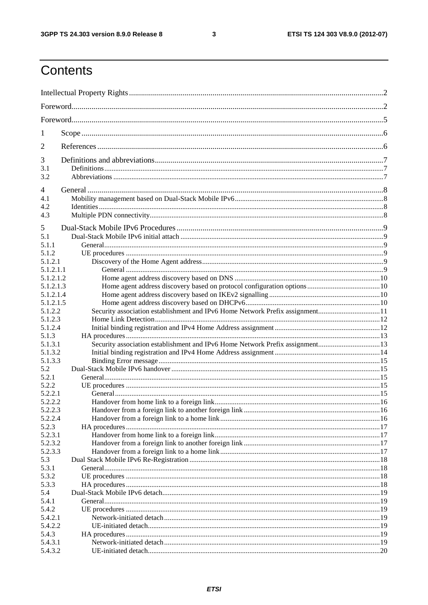$\mathbf{3}$ 

### Contents

| 1                  |                                                                              |  |
|--------------------|------------------------------------------------------------------------------|--|
| 2                  |                                                                              |  |
| 3                  |                                                                              |  |
| 3.1                |                                                                              |  |
| 3.2                |                                                                              |  |
| 4                  |                                                                              |  |
| 4.1                |                                                                              |  |
| 4.2                |                                                                              |  |
| 4.3                |                                                                              |  |
| 5                  |                                                                              |  |
| 5.1                |                                                                              |  |
| 5.1.1              |                                                                              |  |
| 5.1.2              |                                                                              |  |
| 5.1.2.1            |                                                                              |  |
| 5.1.2.1.1          |                                                                              |  |
| 5.1.2.1.2          |                                                                              |  |
| 5.1.2.1.3          |                                                                              |  |
| 5.1.2.1.4          |                                                                              |  |
| 5.1.2.1.5          |                                                                              |  |
| 5.1.2.2            |                                                                              |  |
| 5.1.2.3            |                                                                              |  |
| 5.1.2.4            |                                                                              |  |
| 5.1.3              |                                                                              |  |
| 5.1.3.1<br>5.1.3.2 | Security association establishment and IPv6 Home Network Prefix assignment13 |  |
| 5.1.3.3            |                                                                              |  |
| 5.2                |                                                                              |  |
| 5.2.1              |                                                                              |  |
| 5.2.2              |                                                                              |  |
| 5.2.2.1            |                                                                              |  |
| 5.2.2.2            |                                                                              |  |
| 5.2.2.3            |                                                                              |  |
| 5.2.2.4            |                                                                              |  |
| 5.2.3              |                                                                              |  |
| 5.2.3.1            |                                                                              |  |
| 5.2.3.2            |                                                                              |  |
| 5.2.3.3            |                                                                              |  |
| 5.3<br>5.3.1       |                                                                              |  |
| 5.3.2              |                                                                              |  |
| 5.3.3              |                                                                              |  |
| 5.4                |                                                                              |  |
| 5.4.1              |                                                                              |  |
| 5.4.2              |                                                                              |  |
| 5.4.2.1            |                                                                              |  |
| 5.4.2.2            |                                                                              |  |
| 5.4.3              |                                                                              |  |
| 5.4.3.1            |                                                                              |  |
| 5.4.3.2            |                                                                              |  |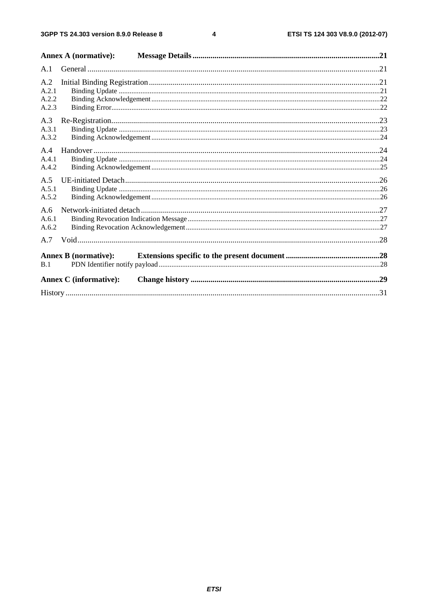$\overline{\mathbf{4}}$ 

|                                | <b>Annex A (normative):</b>   |  |
|--------------------------------|-------------------------------|--|
| A.1                            |                               |  |
| A.2<br>A.2.1<br>A.2.2<br>A.2.3 |                               |  |
| A.3<br>A.3.1<br>A.3.2          |                               |  |
| A.4<br>A.4.1<br>A.4.2          |                               |  |
| A.5<br>A.5.1<br>A.5.2          |                               |  |
| A.6<br>A.6.1<br>A.6.2          |                               |  |
| A.7                            |                               |  |
| B.1                            | <b>Annex B</b> (normative):   |  |
|                                | <b>Annex C</b> (informative): |  |
|                                |                               |  |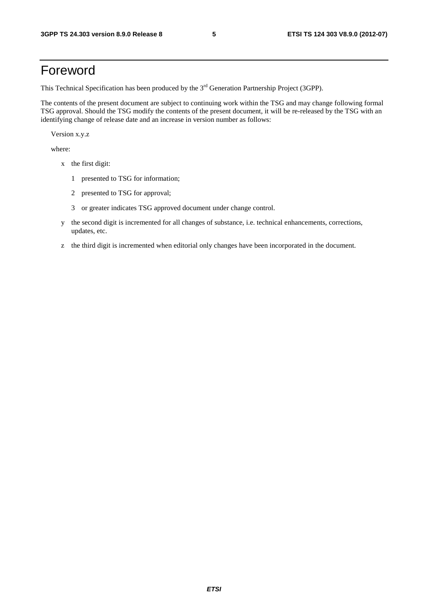### Foreword

This Technical Specification has been produced by the 3<sup>rd</sup> Generation Partnership Project (3GPP).

The contents of the present document are subject to continuing work within the TSG and may change following formal TSG approval. Should the TSG modify the contents of the present document, it will be re-released by the TSG with an identifying change of release date and an increase in version number as follows:

Version x.y.z

where:

- x the first digit:
	- 1 presented to TSG for information;
	- 2 presented to TSG for approval;
	- 3 or greater indicates TSG approved document under change control.
- y the second digit is incremented for all changes of substance, i.e. technical enhancements, corrections, updates, etc.
- z the third digit is incremented when editorial only changes have been incorporated in the document.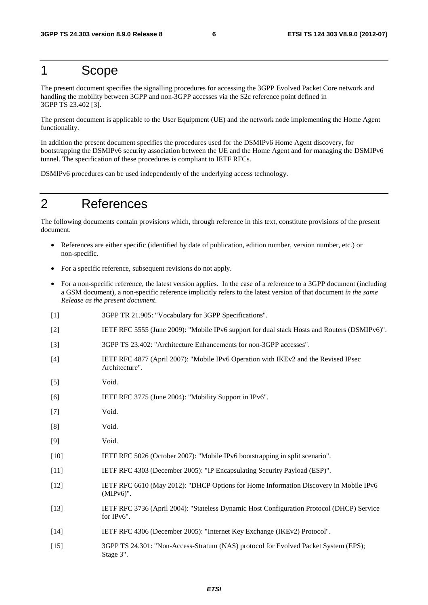### 1 Scope

The present document specifies the signalling procedures for accessing the 3GPP Evolved Packet Core network and handling the mobility between 3GPP and non-3GPP accesses via the S2c reference point defined in 3GPP TS 23.402 [3].

The present document is applicable to the User Equipment (UE) and the network node implementing the Home Agent functionality.

In addition the present document specifies the procedures used for the DSMIPv6 Home Agent discovery, for bootstrapping the DSMIPv6 security association between the UE and the Home Agent and for managing the DSMIPv6 tunnel. The specification of these procedures is compliant to IETF RFCs.

DSMIPv6 procedures can be used independently of the underlying access technology.

### 2 References

The following documents contain provisions which, through reference in this text, constitute provisions of the present document.

- References are either specific (identified by date of publication, edition number, version number, etc.) or non-specific.
- For a specific reference, subsequent revisions do not apply.
- For a non-specific reference, the latest version applies. In the case of a reference to a 3GPP document (including a GSM document), a non-specific reference implicitly refers to the latest version of that document *in the same Release as the present document*.
- [1] 3GPP TR 21.905: "Vocabulary for 3GPP Specifications".
- [2] IETF RFC 5555 (June 2009): "Mobile IPv6 support for dual stack Hosts and Routers (DSMIPv6)".
- [3] 3GPP TS 23.402: "Architecture Enhancements for non-3GPP accesses".
- [4] IETF RFC 4877 (April 2007): "Mobile IPv6 Operation with IKEv2 and the Revised IPsec Architecture".
- [5] Void.
- [6] IETF RFC 3775 (June 2004): "Mobility Support in IPv6".
- [7] Void.
- [8] Void.
- [9] Void.
- [10] IETF RFC 5026 (October 2007): "Mobile IPv6 bootstrapping in split scenario".
- [11] IETF RFC 4303 (December 2005): "IP Encapsulating Security Payload (ESP)".
- [12] IETF RFC 6610 (May 2012): "DHCP Options for Home Information Discovery in Mobile IPv6 (MIPv6)".
- [13] IETF RFC 3736 (April 2004): "Stateless Dynamic Host Configuration Protocol (DHCP) Service for IPv6".
- [14] IETF RFC 4306 (December 2005): "Internet Key Exchange (IKEv2) Protocol".
- [15] 3GPP TS 24.301: "Non-Access-Stratum (NAS) protocol for Evolved Packet System (EPS); Stage 3".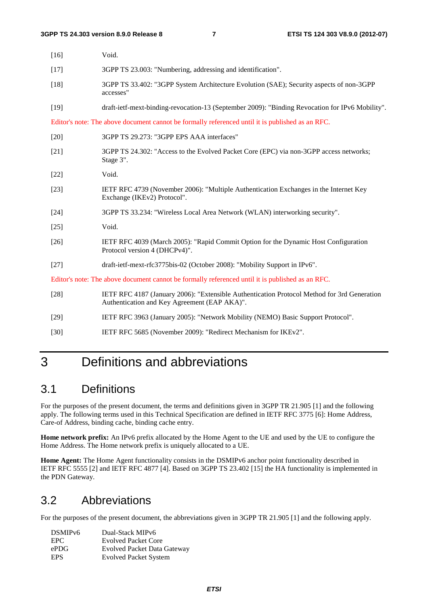| $[16]$ | Void.                                                                                                                                       |
|--------|---------------------------------------------------------------------------------------------------------------------------------------------|
| $[17]$ | 3GPP TS 23.003: "Numbering, addressing and identification".                                                                                 |
| $[18]$ | 3GPP TS 33.402: "3GPP System Architecture Evolution (SAE); Security aspects of non-3GPP<br>accesses"                                        |
| $[19]$ | draft-ietf-mext-binding-revocation-13 (September 2009): "Binding Revocation for IPv6 Mobility".                                             |
|        | Editor's note: The above document cannot be formally referenced until it is published as an RFC.                                            |
| $[20]$ | 3GPP TS 29.273: "3GPP EPS AAA interfaces"                                                                                                   |
| $[21]$ | 3GPP TS 24.302: "Access to the Evolved Packet Core (EPC) via non-3GPP access networks;<br>Stage 3".                                         |
| $[22]$ | Void.                                                                                                                                       |
| $[23]$ | IETF RFC 4739 (November 2006): "Multiple Authentication Exchanges in the Internet Key<br>Exchange (IKEv2) Protocol".                        |
| $[24]$ | 3GPP TS 33.234: "Wireless Local Area Network (WLAN) interworking security".                                                                 |
| $[25]$ | Void.                                                                                                                                       |
| $[26]$ | IETF RFC 4039 (March 2005): "Rapid Commit Option for the Dynamic Host Configuration<br>Protocol version 4 (DHCPv4)".                        |
| $[27]$ | draft-ietf-mext-rfc3775bis-02 (October 2008): "Mobility Support in IPv6".                                                                   |
|        | Editor's note: The above document cannot be formally referenced until it is published as an RFC.                                            |
| $[28]$ | IETF RFC 4187 (January 2006): "Extensible Authentication Protocol Method for 3rd Generation<br>Authentication and Key Agreement (EAP AKA)". |
| $[29]$ | IETF RFC 3963 (January 2005): "Network Mobility (NEMO) Basic Support Protocol".                                                             |
| $[30]$ | IETF RFC 5685 (November 2009): "Redirect Mechanism for IKEv2".                                                                              |

### 3 Definitions and abbreviations

### 3.1 Definitions

For the purposes of the present document, the terms and definitions given in 3GPP TR 21.905 [1] and the following apply. The following terms used in this Technical Specification are defined in IETF RFC 3775 [6]: Home Address, Care-of Address, binding cache, binding cache entry.

**Home network prefix:** An IPv6 prefix allocated by the Home Agent to the UE and used by the UE to configure the Home Address. The Home network prefix is uniquely allocated to a UE.

**Home Agent:** The Home Agent functionality consists in the DSMIPv6 anchor point functionality described in IETF RFC 5555 [2] and IETF RFC 4877 [4]. Based on 3GPP TS 23.402 [15] the HA functionality is implemented in the PDN Gateway.

### 3.2 Abbreviations

For the purposes of the present document, the abbreviations given in 3GPP TR 21.905 [1] and the following apply.

| DSMIP <sub>v6</sub> | Dual-Stack MIPv6                   |
|---------------------|------------------------------------|
| EPC.                | <b>Evolved Packet Core</b>         |
| ePDG                | <b>Evolved Packet Data Gateway</b> |
| <b>EPS</b>          | <b>Evolved Packet System</b>       |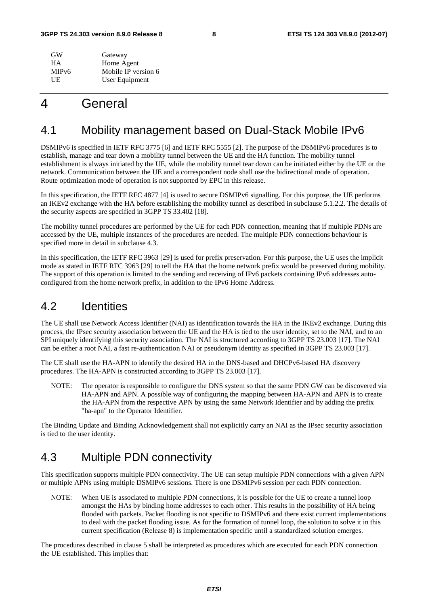| GW                 | Gateway             |
|--------------------|---------------------|
| <b>HA</b>          | Home Agent          |
| MIP <sub>v</sub> 6 | Mobile IP version 6 |
| UE                 | User Equipment      |

### 4 General

### 4.1 Mobility management based on Dual-Stack Mobile IPv6

DSMIPv6 is specified in IETF RFC 3775 [6] and IETF RFC 5555 [2]. The purpose of the DSMIPv6 procedures is to establish, manage and tear down a mobility tunnel between the UE and the HA function. The mobility tunnel establishment is always initiated by the UE, while the mobility tunnel tear down can be initiated either by the UE or the network. Communication between the UE and a correspondent node shall use the bidirectional mode of operation. Route optimization mode of operation is not supported by EPC in this release.

In this specification, the IETF RFC 4877 [4] is used to secure DSMIPv6 signalling. For this purpose, the UE performs an IKEv2 exchange with the HA before establishing the mobility tunnel as described in subclause 5.1.2.2. The details of the security aspects are specified in 3GPP TS 33.402 [18].

The mobility tunnel procedures are performed by the UE for each PDN connection, meaning that if multiple PDNs are accessed by the UE, multiple instances of the procedures are needed. The multiple PDN connections behaviour is specified more in detail in subclause 4.3.

In this specification, the IETF RFC 3963 [29] is used for prefix preservation. For this purpose, the UE uses the implicit mode as stated in IETF RFC 3963 [29] to tell the HA that the home network prefix would be preserved during mobility. The support of this operation is limited to the sending and receiving of IPv6 packets containing IPv6 addresses autoconfigured from the home network prefix, in addition to the IPv6 Home Address.

### 4.2 Identities

The UE shall use Network Access Identifier (NAI) as identification towards the HA in the IKEv2 exchange. During this process, the IPsec security association between the UE and the HA is tied to the user identity, set to the NAI, and to an SPI uniquely identifying this security association. The NAI is structured according to 3GPP TS 23.003 [17]. The NAI can be either a root NAI, a fast re-authentication NAI or pseudonym identity as specified in 3GPP TS 23.003 [17].

The UE shall use the HA-APN to identify the desired HA in the DNS-based and DHCPv6-based HA discovery procedures. The HA-APN is constructed according to 3GPP TS 23.003 [17].

NOTE: The operator is responsible to configure the DNS system so that the same PDN GW can be discovered via HA-APN and APN. A possible way of configuring the mapping between HA-APN and APN is to create the HA-APN from the respective APN by using the same Network Identifier and by adding the prefix "ha-apn" to the Operator Identifier.

The Binding Update and Binding Acknowledgement shall not explicitly carry an NAI as the IPsec security association is tied to the user identity.

### 4.3 Multiple PDN connectivity

This specification supports multiple PDN connectivity. The UE can setup multiple PDN connections with a given APN or multiple APNs using multiple DSMIPv6 sessions. There is one DSMIPv6 session per each PDN connection.

NOTE: When UE is associated to multiple PDN connections, it is possible for the UE to create a tunnel loop amongst the HAs by binding home addresses to each other. This results in the possibility of HA being flooded with packets. Packet flooding is not specific to DSMIPv6 and there exist current implementations to deal with the packet flooding issue. As for the formation of tunnel loop, the solution to solve it in this current specification (Release 8) is implementation specific until a standardized solution emerges.

The procedures described in clause 5 shall be interpreted as procedures which are executed for each PDN connection the UE established. This implies that: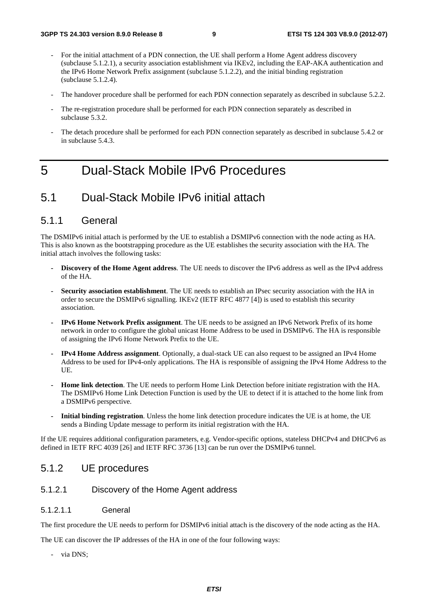- For the initial attachment of a PDN connection, the UE shall perform a Home Agent address discovery (subclause 5.1.2.1), a security association establishment via IKEv2, including the EAP-AKA authentication and the IPv6 Home Network Prefix assignment (subclause 5.1.2.2), and the initial binding registration (subclause 5.1.2.4).
- The handover procedure shall be performed for each PDN connection separately as described in subclause 5.2.2.
- The re-registration procedure shall be performed for each PDN connection separately as described in subclause 5.3.2.
- The detach procedure shall be performed for each PDN connection separately as described in subclause 5.4.2 or in subclause 5.4.3.

### 5 Dual-Stack Mobile IPv6 Procedures

### 5.1 Dual-Stack Mobile IPv6 initial attach

#### 5.1.1 General

The DSMIPv6 initial attach is performed by the UE to establish a DSMIPv6 connection with the node acting as HA. This is also known as the bootstrapping procedure as the UE establishes the security association with the HA. The initial attach involves the following tasks:

- **Discovery of the Home Agent address**. The UE needs to discover the IPv6 address as well as the IPv4 address of the HA.
- **Security association establishment**. The UE needs to establish an IPsec security association with the HA in order to secure the DSMIPv6 signalling. IKEv2 (IETF RFC 4877 [4]) is used to establish this security association.
- **IPv6 Home Network Prefix assignment**. The UE needs to be assigned an IPv6 Network Prefix of its home network in order to configure the global unicast Home Address to be used in DSMIPv6. The HA is responsible of assigning the IPv6 Home Network Prefix to the UE.
- **IPv4 Home Address assignment**. Optionally, a dual-stack UE can also request to be assigned an IPv4 Home Address to be used for IPv4-only applications. The HA is responsible of assigning the IPv4 Home Address to the UE.
- **Home link detection**. The UE needs to perform Home Link Detection before initiate registration with the HA. The DSMIPv6 Home Link Detection Function is used by the UE to detect if it is attached to the home link from a DSMIPv6 perspective.
- **Initial binding registration**. Unless the home link detection procedure indicates the UE is at home, the UE sends a Binding Update message to perform its initial registration with the HA.

If the UE requires additional configuration parameters, e.g. Vendor-specific options, stateless DHCPv4 and DHCPv6 as defined in IETF RFC 4039 [26] and IETF RFC 3736 [13] can be run over the DSMIPv6 tunnel.

#### 5.1.2 UE procedures

#### 5.1.2.1 Discovery of the Home Agent address

#### 5.1.2.1.1 General

The first procedure the UE needs to perform for DSMIPv6 initial attach is the discovery of the node acting as the HA.

The UE can discover the IP addresses of the HA in one of the four following ways:

via DNS;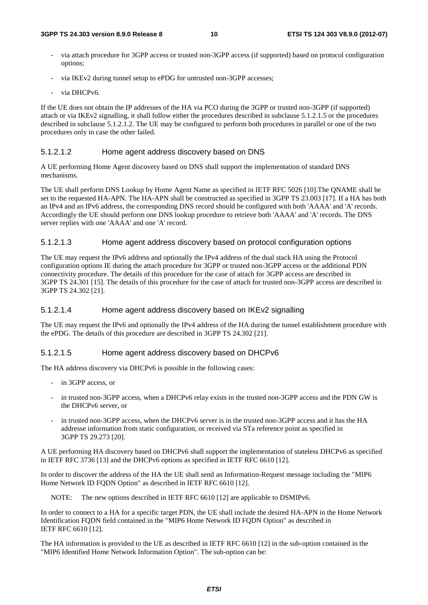- via attach procedure for 3GPP access or trusted non-3GPP access (if supported) based on protocol configuration options;
- via IKEv2 during tunnel setup to ePDG for untrusted non-3GPP accesses;
- via DHCPv6.

If the UE does not obtain the IP addresses of the HA via PCO during the 3GPP or trusted non-3GPP (if supported) attach or via IKEv2 signalling, it shall follow either the procedures described in subclause 5.1.2.1.5 or the procedures described in subclause 5.1.2.1.2. The UE may be configured to perform both procedures in parallel or one of the two procedures only in case the other failed.

#### 5.1.2.1.2 Home agent address discovery based on DNS

A UE performing Home Agent discovery based on DNS shall support the implementation of standard DNS mechanisms.

The UE shall perform DNS Lookup by Home Agent Name as specified in IETF RFC 5026 [10].The QNAME shall be set to the requested HA-APN. The HA-APN shall be constructed as specified in 3GPP TS 23.003 [17]. If a HA has both an IPv4 and an IPv6 address, the corresponding DNS record should be configured with both 'AAAA' and 'A' records. Accordingly the UE should perform one DNS lookup procedure to retrieve both 'AAAA' and 'A' records. The DNS server replies with one 'AAAA' and one 'A' record.

#### 5.1.2.1.3 Home agent address discovery based on protocol configuration options

The UE may request the IPv6 address and optionally the IPv4 address of the dual stack HA using the Protocol configuration options IE during the attach procedure for 3GPP or trusted non-3GPP access or the additional PDN connectivity procedure. The details of this procedure for the case of attach for 3GPP access are described in 3GPP TS 24.301 [15]. The details of this procedure for the case of attach for trusted non-3GPP access are described in 3GPP TS 24.302 [21].

#### 5.1.2.1.4 Home agent address discovery based on IKEv2 signalling

The UE may request the IPv6 and optionally the IPv4 address of the HA during the tunnel establishment procedure with the ePDG. The details of this procedure are described in 3GPP TS 24.302 [21].

#### 5.1.2.1.5 Home agent address discovery based on DHCPv6

The HA address discovery via DHCPv6 is possible in the following cases:

- in 3GPP access, or
- in trusted non-3GPP access, when a DHCPv6 relay exists in the trusted non-3GPP access and the PDN GW is the DHCPv6 server, or
- in trusted non-3GPP access, when the DHCPv6 server is in the trusted non-3GPP access and it has the HA addresse information from static configuration, or received via STa reference point as specified in 3GPP TS 29.273 [20].

A UE performing HA discovery based on DHCPv6 shall support the implementation of stateless DHCPv6 as specified in IETF RFC 3736 [13] and the DHCPv6 options as specified in IETF RFC 6610 [12].

In order to discover the address of the HA the UE shall send an Information-Request message including the "MIP6 Home Network ID FQDN Option" as described in IETF RFC 6610 [12].

NOTE: The new options described in IETF RFC 6610 [12] are applicable to DSMIPv6.

In order to connect to a HA for a specific target PDN, the UE shall include the desired HA-APN in the Home Network Identification FQDN field contained in the "MIP6 Home Network ID FQDN Option" as described in IETF RFC 6610 [12].

The HA information is provided to the UE as described in IETF RFC 6610 [12] in the sub-option contained in the "MIP6 Identified Home Network Information Option". The sub-option can be: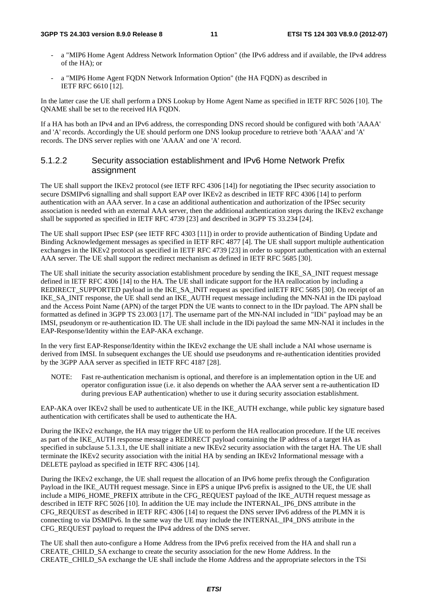#### **3GPP TS 24.303 version 8.9.0 Release 8 11 ETSI TS 124 303 V8.9.0 (2012-07)**

- a "MIP6 Home Agent Address Network Information Option" (the IPv6 address and if available, the IPv4 address of the HA); or
- a "MIP6 Home Agent FQDN Network Information Option" (the HA FQDN) as described in IETF RFC 6610 [12].

In the latter case the UE shall perform a DNS Lookup by Home Agent Name as specified in IETF RFC 5026 [10]. The QNAME shall be set to the received HA FQDN.

If a HA has both an IPv4 and an IPv6 address, the corresponding DNS record should be configured with both 'AAAA' and 'A' records. Accordingly the UE should perform one DNS lookup procedure to retrieve both 'AAAA' and 'A' records. The DNS server replies with one 'AAAA' and one 'A' record.

#### 5.1.2.2 Security association establishment and IPv6 Home Network Prefix assignment

The UE shall support the IKEv2 protocol (see IETF RFC 4306 [14]) for negotiating the IPsec security association to secure DSMIPv6 signalling and shall support EAP over IKEv2 as described in IETF RFC 4306 [14] to perform authentication with an AAA server. In a case an additional authentication and authorization of the IPSec security association is needed with an external AAA server, then the additional authentication steps during the IKEv2 exchange shall be supported as specified in IETF RFC 4739 [23] and described in 3GPP TS 33.234 [24].

The UE shall support IPsec ESP (see IETF RFC 4303 [11]) in order to provide authentication of Binding Update and Binding Acknowledgement messages as specified in IETF RFC 4877 [4]. The UE shall support multiple authentication exchanges in the IKEv2 protocol as specified in IETF RFC 4739 [23] in order to support authentication with an external AAA server. The UE shall support the redirect mechanism as defined in IETF RFC 5685 [30].

The UE shall initiate the security association establishment procedure by sending the IKE\_SA\_INIT request message defined in IETF RFC 4306 [14] to the HA. The UE shall indicate support for the HA reallocation by including a REDIRECT\_SUPPORTED payload in the IKE\_SA\_INIT request as specified inIETF RFC 5685 [30]. On receipt of an IKE\_SA\_INIT response, the UE shall send an IKE\_AUTH request message including the MN-NAI in the IDi payload and the Access Point Name (APN) of the target PDN the UE wants to connect to in the IDr payload. The APN shall be formatted as defined in 3GPP TS 23.003 [17]. The username part of the MN-NAI included in "IDi" payload may be an IMSI, pseudonym or re-authentication ID. The UE shall include in the IDi payload the same MN-NAI it includes in the EAP-Response/Identity within the EAP-AKA exchange.

In the very first EAP-Response/Identity within the IKEv2 exchange the UE shall include a NAI whose username is derived from IMSI. In subsequent exchanges the UE should use pseudonyms and re-authentication identities provided by the 3GPP AAA server as specified in IETF RFC 4187 [28].

NOTE: Fast re-authentication mechanism is optional, and therefore is an implementation option in the UE and operator configuration issue (i.e. it also depends on whether the AAA server sent a re-authentication ID during previous EAP authentication) whether to use it during security association establishment.

EAP-AKA over IKEv2 shall be used to authenticate UE in the IKE\_AUTH exchange, while public key signature based authentication with certificates shall be used to authenticate the HA.

During the IKEv2 exchange, the HA may trigger the UE to perform the HA reallocation procedure. If the UE receives as part of the IKE\_AUTH response message a REDIRECT payload containing the IP address of a target HA as specified in subclause 5.1.3.1, the UE shall initiate a new IKEv2 security association with the target HA. The UE shall terminate the IKEv2 security association with the initial HA by sending an IKEv2 Informational message with a DELETE payload as specified in IETF RFC 4306 [14].

During the IKEv2 exchange, the UE shall request the allocation of an IPv6 home prefix through the Configuration Payload in the IKE\_AUTH request message. Since in EPS a unique IPv6 prefix is assigned to the UE, the UE shall include a MIP6\_HOME\_PREFIX attribute in the CFG\_REQUEST payload of the IKE\_AUTH request message as described in IETF RFC 5026 [10]. In addition the UE may include the INTERNAL\_IP6\_DNS attribute in the CFG\_REQUEST as described in IETF RFC 4306 [14] to request the DNS server IPv6 address of the PLMN it is connecting to via DSMIPv6. In the same way the UE may include the INTERNAL\_IP4\_DNS attribute in the CFG\_REQUEST payload to request the IPv4 address of the DNS server.

The UE shall then auto-configure a Home Address from the IPv6 prefix received from the HA and shall run a CREATE\_CHILD\_SA exchange to create the security association for the new Home Address. In the CREATE\_CHILD\_SA exchange the UE shall include the Home Address and the appropriate selectors in the TSi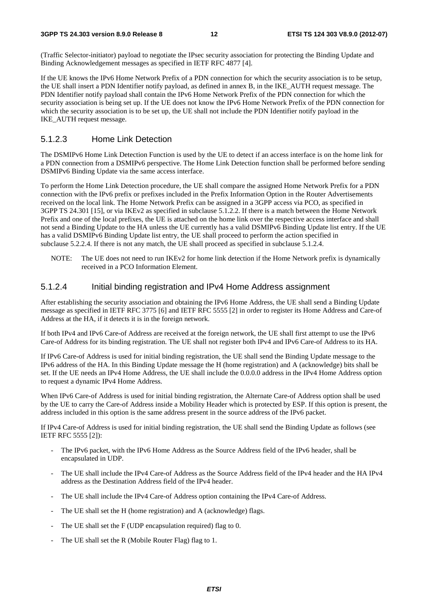(Traffic Selector-initiator) payload to negotiate the IPsec security association for protecting the Binding Update and Binding Acknowledgement messages as specified in IETF RFC 4877 [4].

If the UE knows the IPv6 Home Network Prefix of a PDN connection for which the security association is to be setup, the UE shall insert a PDN Identifier notify payload, as defined in annex B, in the IKE\_AUTH request message. The PDN Identifier notify payload shall contain the IPv6 Home Network Prefix of the PDN connection for which the security association is being set up. If the UE does not know the IPv6 Home Network Prefix of the PDN connection for which the security association is to be set up, the UE shall not include the PDN Identifier notify payload in the IKE\_AUTH request message.

#### 5.1.2.3 Home Link Detection

The DSMIPv6 Home Link Detection Function is used by the UE to detect if an access interface is on the home link for a PDN connection from a DSMIPv6 perspective. The Home Link Detection function shall be performed before sending DSMIPv6 Binding Update via the same access interface.

To perform the Home Link Detection procedure, the UE shall compare the assigned Home Network Prefix for a PDN connection with the IPv6 prefix or prefixes included in the Prefix Information Option in the Router Advertisements received on the local link. The Home Network Prefix can be assigned in a 3GPP access via PCO, as specified in 3GPP TS 24.301 [15], or via IKEv2 as specified in subclause 5.1.2.2. If there is a match between the Home Network Prefix and one of the local prefixes, the UE is attached on the home link over the respective access interface and shall not send a Binding Update to the HA unless the UE currently has a valid DSMIPv6 Binding Update list entry. If the UE has a valid DSMIPv6 Binding Update list entry, the UE shall proceed to perform the action specified in subclause 5.2.2.4. If there is not any match, the UE shall proceed as specified in subclause 5.1.2.4.

NOTE: The UE does not need to run IKEv2 for home link detection if the Home Network prefix is dynamically received in a PCO Information Element.

#### 5.1.2.4 Initial binding registration and IPv4 Home Address assignment

After establishing the security association and obtaining the IPv6 Home Address, the UE shall send a Binding Update message as specified in IETF RFC 3775 [6] and IETF RFC 5555 [2] in order to register its Home Address and Care-of Address at the HA, if it detects it is in the foreign network.

If both IPv4 and IPv6 Care-of Address are received at the foreign network, the UE shall first attempt to use the IPv6 Care-of Address for its binding registration. The UE shall not register both IPv4 and IPv6 Care-of Address to its HA.

If IPv6 Care-of Address is used for initial binding registration, the UE shall send the Binding Update message to the IPv6 address of the HA. In this Binding Update message the H (home registration) and A (acknowledge) bits shall be set. If the UE needs an IPv4 Home Address, the UE shall include the 0.0.0.0 address in the IPv4 Home Address option to request a dynamic IPv4 Home Address.

When IPv6 Care-of Address is used for initial binding registration, the Alternate Care-of Address option shall be used by the UE to carry the Care-of Address inside a Mobility Header which is protected by ESP. If this option is present, the address included in this option is the same address present in the source address of the IPv6 packet.

If IPv4 Care-of Address is used for initial binding registration, the UE shall send the Binding Update as follows (see IETF RFC 5555 [2]):

- The IPv6 packet, with the IPv6 Home Address as the Source Address field of the IPv6 header, shall be encapsulated in UDP.
- The UE shall include the IPv4 Care-of Address as the Source Address field of the IPv4 header and the HA IPv4 address as the Destination Address field of the IPv4 header.
- The UE shall include the IPv4 Care-of Address option containing the IPv4 Care-of Address.
- The UE shall set the H (home registration) and A (acknowledge) flags.
- The UE shall set the F (UDP encapsulation required) flag to 0.
- The UE shall set the R (Mobile Router Flag) flag to 1.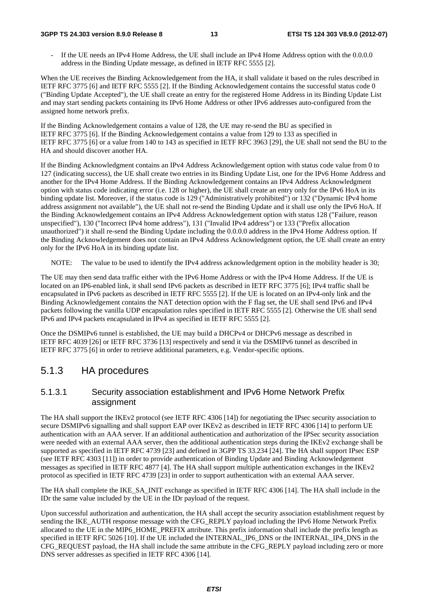#### **3GPP TS 24.303 version 8.9.0 Release 8 13 ETSI TS 124 303 V8.9.0 (2012-07)**

If the UE needs an IPv4 Home Address, the UE shall include an IPv4 Home Address option with the 0.0.0.0 address in the Binding Update message, as defined in IETF RFC 5555 [2].

When the UE receives the Binding Acknowledgement from the HA, it shall validate it based on the rules described in IETF RFC 3775 [6] and IETF RFC 5555 [2]. If the Binding Acknowledgement contains the successful status code 0 ("Binding Update Accepted"), the UE shall create an entry for the registered Home Address in its Binding Update List and may start sending packets containing its IPv6 Home Address or other IPv6 addresses auto-configured from the assigned home network prefix.

If the Binding Acknowledgement contains a value of 128, the UE may re-send the BU as specified in IETF RFC 3775 [6]. If the Binding Acknowledgement contains a value from 129 to 133 as specified in IETF RFC 3775 [6] or a value from 140 to 143 as specified in IETF RFC 3963 [29], the UE shall not send the BU to the HA and should discover another HA.

If the Binding Acknowledgment contains an IPv4 Address Acknowledgement option with status code value from 0 to 127 (indicating success), the UE shall create two entries in its Binding Update List, one for the IPv6 Home Address and another for the IPv4 Home Address. If the Binding Acknowledgement contains an IPv4 Address Acknowledgment option with status code indicating error (i.e. 128 or higher), the UE shall create an entry only for the IPv6 HoA in its binding update list. Moreover, if the status code is 129 ("Administratively prohibited") or 132 ("Dynamic IPv4 home address assignment not available"), the UE shall not re-send the Binding Update and it shall use only the IPv6 HoA. If the Binding Acknowledgement contains an IPv4 Address Acknowledgement option with status 128 ("Failure, reason unspecified"), 130 ("Incorrect IPv4 home address"), 131 ("Invalid IPv4 address") or 133 ("Prefix allocation unauthorized") it shall re-send the Binding Update including the 0.0.0.0 address in the IPv4 Home Address option. If the Binding Acknowledgement does not contain an IPv4 Address Acknowledgment option, the UE shall create an entry only for the IPv6 HoA in its binding update list.

NOTE: The value to be used to identify the IPv4 address acknowledgement option in the mobility header is 30;

The UE may then send data traffic either with the IPv6 Home Address or with the IPv4 Home Address. If the UE is located on an IP6-enabled link, it shall send IPv6 packets as described in IETF RFC 3775 [6]; IPv4 traffic shall be encapsulated in IPv6 packets as described in IETF RFC 5555 [2]. If the UE is located on an IPv4-only link and the Binding Acknowledgement contains the NAT detection option with the F flag set, the UE shall send IPv6 and IPv4 packets following the vanilla UDP encapsulation rules specified in IETF RFC 5555 [2]. Otherwise the UE shall send IPv6 and IPv4 packets encapsulated in IPv4 as specified in IETF RFC 5555 [2].

Once the DSMIPv6 tunnel is established, the UE may build a DHCPv4 or DHCPv6 message as described in IETF RFC 4039 [26] or IETF RFC 3736 [13] respectively and send it via the DSMIPv6 tunnel as described in IETF RFC 3775 [6] in order to retrieve additional parameters, e.g. Vendor-specific options.

### 5.1.3 HA procedures

#### 5.1.3.1 Security association establishment and IPv6 Home Network Prefix assignment

The HA shall support the IKEv2 protocol (see IETF RFC 4306 [14]) for negotiating the IPsec security association to secure DSMIPv6 signalling and shall support EAP over IKEv2 as described in IETF RFC 4306 [14] to perform UE authentication with an AAA server. If an additional authentication and authorization of the IPSec security association were needed with an external AAA server, then the additional authentication steps during the IKEv2 exchange shall be supported as specified in IETF RFC 4739 [23] and defined in 3GPP TS 33.234 [24]. The HA shall support IPsec ESP (see IETF RFC 4303 [11]) in order to provide authentication of Binding Update and Binding Acknowledgement messages as specified in IETF RFC 4877 [4]. The HA shall support multiple authentication exchanges in the IKEv2 protocol as specified in IETF RFC 4739 [23] in order to support authentication with an external AAA server.

The HA shall complete the IKE\_SA\_INIT exchange as specified in IETF RFC 4306 [14]. The HA shall include in the IDr the same value included by the UE in the IDr payload of the request.

Upon successful authorization and authentication, the HA shall accept the security association establishment request by sending the IKE\_AUTH response message with the CFG\_REPLY payload including the IPv6 Home Network Prefix allocated to the UE in the MIP6\_HOME\_PREFIX attribute. This prefix information shall include the prefix length as specified in IETF RFC 5026 [10]. If the UE included the INTERNAL\_IP6\_DNS or the INTERNAL\_IP4\_DNS in the CFG\_REQUEST payload, the HA shall include the same attribute in the CFG\_REPLY payload including zero or more DNS server addresses as specified in IETF RFC 4306 [14].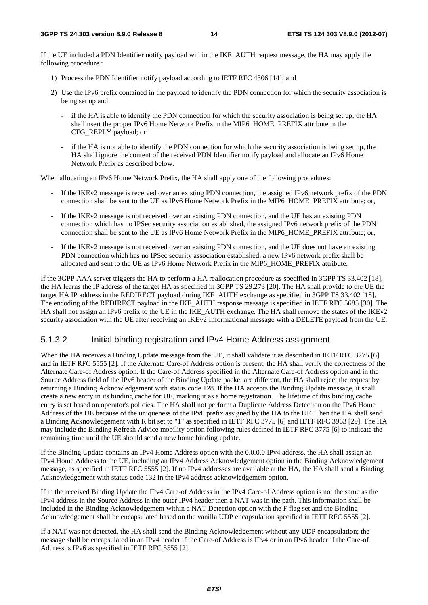If the UE included a PDN Identifier notify payload within the IKE\_AUTH request message, the HA may apply the following procedure :

- 1) Process the PDN Identifier notify payload according to IETF RFC 4306 [14]; and
- 2) Use the IPv6 prefix contained in the payload to identify the PDN connection for which the security association is being set up and
	- if the HA is able to identify the PDN connection for which the security association is being set up, the HA shallinsert the proper IPv6 Home Network Prefix in the MIP6\_HOME\_PREFIX attribute in the CFG\_REPLY payload; or
	- if the HA is not able to identify the PDN connection for which the security association is being set up, the HA shall ignore the content of the received PDN Identifier notify payload and allocate an IPv6 Home Network Prefix as described below.

When allocating an IPv6 Home Network Prefix, the HA shall apply one of the following procedures:

- If the IKEv2 message is received over an existing PDN connection, the assigned IPv6 network prefix of the PDN connection shall be sent to the UE as IPv6 Home Network Prefix in the MIP6\_HOME\_PREFIX attribute; or,
- If the IKEv2 message is not received over an existing PDN connection, and the UE has an existing PDN connection which has no IPSec security association established, the assigned IPv6 network prefix of the PDN connection shall be sent to the UE as IPv6 Home Network Prefix in the MIP6\_HOME\_PREFIX attribute; or,
- If the IKEv2 message is not received over an existing PDN connection, and the UE does not have an existing PDN connection which has no IPSec security association established, a new IPv6 network prefix shall be allocated and sent to the UE as IPv6 Home Network Prefix in the MIP6\_HOME\_PREFIX attribute.

If the 3GPP AAA server triggers the HA to perform a HA reallocation procedure as specified in 3GPP TS 33.402 [18], the HA learns the IP address of the target HA as specified in 3GPP TS 29.273 [20]. The HA shall provide to the UE the target HA IP address in the REDIRECT payload during IKE\_AUTH exchange as specified in 3GPP TS 33.402 [18]. The encoding of the REDIRECT payload in the IKE\_AUTH response message is specified in IETF RFC 5685 [30]. The HA shall not assign an IPv6 prefix to the UE in the IKE\_AUTH exchange. The HA shall remove the states of the IKEv2 security association with the UE after receiving an IKEv2 Informational message with a DELETE payload from the UE.

#### 5.1.3.2 Initial binding registration and IPv4 Home Address assignment

When the HA receives a Binding Update message from the UE, it shall validate it as described in IETF RFC 3775 [6] and in IETF RFC 5555 [2]. If the Alternate Care-of Address option is present, the HA shall verify the correctness of the Alternate Care-of Address option. If the Care-of Address specified in the Alternate Care-of Address option and in the Source Address field of the IPv6 header of the Binding Update packet are different, the HA shall reject the request by returning a Binding Acknowledgement with status code 128. If the HA accepts the Binding Update message, it shall create a new entry in its binding cache for UE, marking it as a home registration. The lifetime of this binding cache entry is set based on operator's policies. The HA shall not perform a Duplicate Address Detection on the IPv6 Home Address of the UE because of the uniqueness of the IPv6 prefix assigned by the HA to the UE. Then the HA shall send a Binding Acknowledgement with R bit set to "1" as specified in IETF RFC 3775 [6] and IETF RFC 3963 [29]. The HA may include the Binding Refresh Advice mobility option following rules defined in IETF RFC 3775 [6] to indicate the remaining time until the UE should send a new home binding update.

If the Binding Update contains an IPv4 Home Address option with the 0.0.0.0 IPv4 address, the HA shall assign an IPv4 Home Address to the UE, including an IPv4 Address Acknowledgement option in the Binding Acknowledgement message, as specified in IETF RFC 5555 [2]. If no IPv4 addresses are available at the HA, the HA shall send a Binding Acknowledgement with status code 132 in the IPv4 address acknowledgement option.

If in the received Binding Update the IPv4 Care-of Address in the IPv4 Care-of Address option is not the same as the IPv4 address in the Source Address in the outer IPv4 header then a NAT was in the path. This information shall be included in the Binding Acknowledgement within a NAT Detection option with the F flag set and the Binding Acknowledgement shall be encapsulated based on the vanilla UDP encapsulation specified in IETF RFC 5555 [2].

If a NAT was not detected, the HA shall send the Binding Acknowledgement without any UDP encapsulation; the message shall be encapsulated in an IPv4 header if the Care-of Address is IPv4 or in an IPv6 header if the Care-of Address is IPv6 as specified in IETF RFC 5555 [2].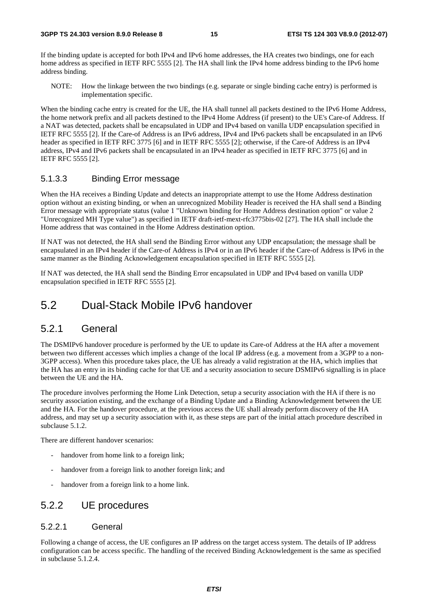If the binding update is accepted for both IPv4 and IPv6 home addresses, the HA creates two bindings, one for each home address as specified in IETF RFC 5555 [2]. The HA shall link the IPv4 home address binding to the IPv6 home address binding.

NOTE: How the linkage between the two bindings (e.g. separate or single binding cache entry) is performed is implementation specific.

When the binding cache entry is created for the UE, the HA shall tunnel all packets destined to the IPv6 Home Address, the home network prefix and all packets destined to the IPv4 Home Address (if present) to the UE's Care-of Address. If a NAT was detected, packets shall be encapsulated in UDP and IPv4 based on vanilla UDP encapsulation specified in IETF RFC 5555 [2]. If the Care-of Address is an IPv6 address, IPv4 and IPv6 packets shall be encapsulated in an IPv6 header as specified in IETF RFC 3775 [6] and in IETF RFC 5555 [2]; otherwise, if the Care-of Address is an IPv4 address, IPv4 and IPv6 packets shall be encapsulated in an IPv4 header as specified in IETF RFC 3775 [6] and in IETF RFC 5555 [2].

#### 5.1.3.3 Binding Error message

When the HA receives a Binding Update and detects an inappropriate attempt to use the Home Address destination option without an existing binding, or when an unrecognized Mobility Header is received the HA shall send a Binding Error message with appropriate status (value 1 "Unknown binding for Home Address destination option" or value 2 "Unrecognized MH Type value") as specified in IETF draft-ietf-mext-rfc3775bis-02 [27]. The HA shall include the Home address that was contained in the Home Address destination option.

If NAT was not detected, the HA shall send the Binding Error without any UDP encapsulation; the message shall be encapsulated in an IPv4 header if the Care-of Address is IPv4 or in an IPv6 header if the Care-of Address is IPv6 in the same manner as the Binding Acknowledgement encapsulation specified in IETF RFC 5555 [2].

If NAT was detected, the HA shall send the Binding Error encapsulated in UDP and IPv4 based on vanilla UDP encapsulation specified in IETF RFC 5555 [2].

### 5.2 Dual-Stack Mobile IPv6 handover

#### 5.2.1 General

The DSMIPv6 handover procedure is performed by the UE to update its Care-of Address at the HA after a movement between two different accesses which implies a change of the local IP address (e.g. a movement from a 3GPP to a non-3GPP access). When this procedure takes place, the UE has already a valid registration at the HA, which implies that the HA has an entry in its binding cache for that UE and a security association to secure DSMIPv6 signalling is in place between the UE and the HA.

The procedure involves performing the Home Link Detection, setup a security association with the HA if there is no security association existing, and the exchange of a Binding Update and a Binding Acknowledgement between the UE and the HA. For the handover procedure, at the previous access the UE shall already perform discovery of the HA address, and may set up a security association with it, as these steps are part of the initial attach procedure described in subclause 5.1.2.

There are different handover scenarios:

- handover from home link to a foreign link;
- handover from a foreign link to another foreign link; and
- handover from a foreign link to a home link.

### 5.2.2 UE procedures

#### 5.2.2.1 General

Following a change of access, the UE configures an IP address on the target access system. The details of IP address configuration can be access specific. The handling of the received Binding Acknowledgement is the same as specified in subclause 5.1.2.4.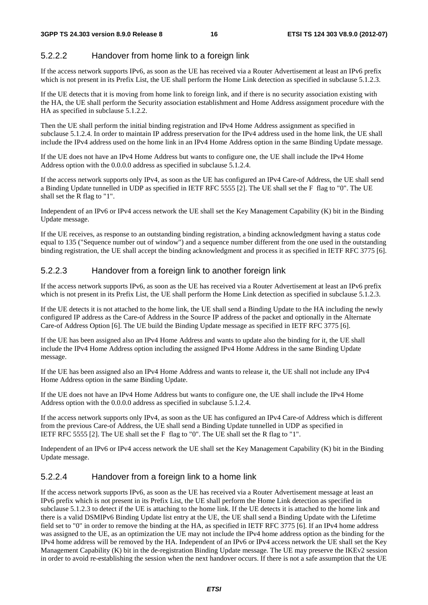#### 5.2.2.2 Handover from home link to a foreign link

If the access network supports IPv6, as soon as the UE has received via a Router Advertisement at least an IPv6 prefix which is not present in its Prefix List, the UE shall perform the Home Link detection as specified in subclause 5.1.2.3.

If the UE detects that it is moving from home link to foreign link, and if there is no security association existing with the HA, the UE shall perform the Security association establishment and Home Address assignment procedure with the HA as specified in subclause 5.1.2.2.

Then the UE shall perform the initial binding registration and IPv4 Home Address assignment as specified in subclause 5.1.2.4. In order to maintain IP address preservation for the IPv4 address used in the home link, the UE shall include the IPv4 address used on the home link in an IPv4 Home Address option in the same Binding Update message.

If the UE does not have an IPv4 Home Address but wants to configure one, the UE shall include the IPv4 Home Address option with the 0.0.0.0 address as specified in subclause 5.1.2.4.

If the access network supports only IPv4, as soon as the UE has configured an IPv4 Care-of Address, the UE shall send a Binding Update tunnelled in UDP as specified in IETF RFC 5555 [2]. The UE shall set the F flag to "0". The UE shall set the R flag to "1".

Independent of an IPv6 or IPv4 access network the UE shall set the Key Management Capability (K) bit in the Binding Update message.

If the UE receives, as response to an outstanding binding registration, a binding acknowledgment having a status code equal to 135 ("Sequence number out of window") and a sequence number different from the one used in the outstanding binding registration, the UE shall accept the binding acknowledgment and process it as specified in IETF RFC 3775 [6].

#### 5.2.2.3 Handover from a foreign link to another foreign link

If the access network supports IPv6, as soon as the UE has received via a Router Advertisement at least an IPv6 prefix which is not present in its Prefix List, the UE shall perform the Home Link detection as specified in subclause 5.1.2.3.

If the UE detects it is not attached to the home link, the UE shall send a Binding Update to the HA including the newly configured IP address as the Care-of Address in the Source IP address of the packet and optionally in the Alternate Care-of Address Option [6]. The UE build the Binding Update message as specified in IETF RFC 3775 [6].

If the UE has been assigned also an IPv4 Home Address and wants to update also the binding for it, the UE shall include the IPv4 Home Address option including the assigned IPv4 Home Address in the same Binding Update message.

If the UE has been assigned also an IPv4 Home Address and wants to release it, the UE shall not include any IPv4 Home Address option in the same Binding Update.

If the UE does not have an IPv4 Home Address but wants to configure one, the UE shall include the IPv4 Home Address option with the 0.0.0.0 address as specified in subclause 5.1.2.4.

If the access network supports only IPv4, as soon as the UE has configured an IPv4 Care-of Address which is different from the previous Care-of Address, the UE shall send a Binding Update tunnelled in UDP as specified in IETF RFC 5555 [2]. The UE shall set the F flag to "0". The UE shall set the R flag to "1".

Independent of an IPv6 or IPv4 access network the UE shall set the Key Management Capability (K) bit in the Binding Update message.

#### 5.2.2.4 Handover from a foreign link to a home link

If the access network supports IPv6, as soon as the UE has received via a Router Advertisement message at least an IPv6 prefix which is not present in its Prefix List, the UE shall perform the Home Link detection as specified in subclause 5.1.2.3 to detect if the UE is attaching to the home link. If the UE detects it is attached to the home link and there is a valid DSMIPv6 Binding Update list entry at the UE, the UE shall send a Binding Update with the Lifetime field set to "0" in order to remove the binding at the HA, as specified in IETF RFC 3775 [6]. If an IPv4 home address was assigned to the UE, as an optimization the UE may not include the IPv4 home address option as the binding for the IPv4 home address will be removed by the HA. Independent of an IPv6 or IPv4 access network the UE shall set the Key Management Capability (K) bit in the de-registration Binding Update message. The UE may preserve the IKEv2 session in order to avoid re-establishing the session when the next handover occurs. If there is not a safe assumption that the UE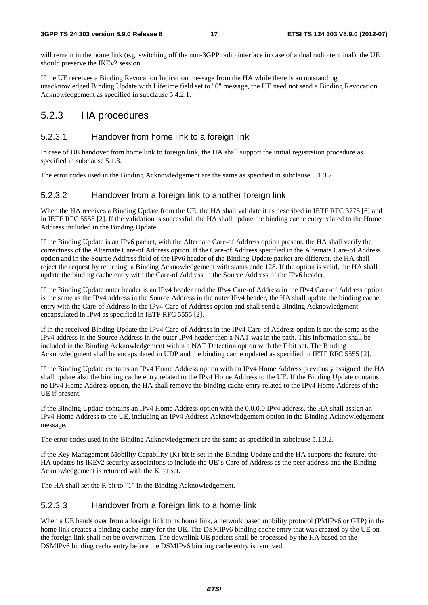will remain in the home link (e.g. switching off the non-3GPP radio interface in case of a dual radio terminal), the UE should preserve the IKEv2 session.

If the UE receives a Binding Revocation Indication message from the HA while there is an outstanding unacknowledged Binding Update with Lifetime field set to "0" message, the UE need not send a Binding Revocation Acknowledgement as specified in subclause 5.4.2.1.

#### 5.2.3 HA procedures

#### 5.2.3.1 Handover from home link to a foreign link

In case of UE handover from home link to foreign link, the HA shall support the initial registrstion procedure as specified in subclause 5.1.3.

The error codes used in the Binding Acknowledgement are the same as specified in subclause 5.1.3.2.

#### 5.2.3.2 Handover from a foreign link to another foreign link

When the HA receives a Binding Update from the UE, the HA shall validate it as described in IETF RFC 3775 [6] and in IETF RFC 5555 [2]. If the validation is successful, the HA shall update the binding cache entry related to the Home Address included in the Binding Update.

If the Binding Update is an IPv6 packet, with the Alternate Care-of Address option present, the HA shall verify the correctness of the Alternate Care-of Address option. If the Care-of Address specified in the Alternate Care-of Address option and in the Source Address field of the IPv6 header of the Binding Update packet are different, the HA shall reject the request by returning a Binding Acknowledgement with status code 128. If the option is valid, the HA shall update the binding cache entry with the Care-of Address in the Source Address of the IPv6 header.

If the Binding Update outer header is an IPv4 header and the IPv4 Care-of Address in the IPv4 Care-of Address option is the same as the IPv4 address in the Source Address in the outer IPv4 header, the HA shall update the binding cache entry with the Care-of Address in the IPv4 Care-of Address option and shall send a Binding Acknowledgment encapsulated in IPv4 as specified in IETF RFC 5555 [2].

If in the received Binding Update the IPv4 Care-of Address in the IPv4 Care-of Address option is not the same as the IPv4 address in the Source Address in the outer IPv4 header then a NAT was in the path. This information shall be included in the Binding Acknowledgement within a NAT Detection option with the F bit set. The Binding Acknowledgment shall be encapsulated in UDP and the binding cache updated as specified in IETF RFC 5555 [2].

If the Binding Update contains an IPv4 Home Address option with an IPv4 Home Address previously assigned, the HA shall update also the binding cache entry related to the IPv4 Home Address to the UE. If the Binding Update contains no IPv4 Home Address option, the HA shall remove the binding cache entry related to the IPv4 Home Address of the UE if present.

If the Binding Update contains an IPv4 Home Address option with the 0.0.0.0 IPv4 address, the HA shall assign an IPv4 Home Address to the UE, including an IPv4 Address Acknowledgement option in the Binding Acknowledgement message.

The error codes used in the Binding Acknowledgement are the same as specified in subclause 5.1.3.2.

If the Key Management Mobility Capability (K) bit is set in the Binding Update and the HA supports the feature, the HA updates its IKEv2 security associations to include the UE"s Care-of Address as the peer address and the Binding Acknowledgement is returned with the K bit set.

The HA shall set the R bit to "1" in the Binding Acknowledgement.

#### 5.2.3.3 Handover from a foreign link to a home link

When a UE hands over from a foreign link to its home link, a network based mobility protocol (PMIPv6 or GTP) in the home link creates a binding cache entry for the UE. The DSMIPv6 binding cache entry that was created by the UE on the foreign link shall not be overwritten. The downlink UE packets shall be processed by the HA based on the DSMIPv6 binding cache entry before the DSMIPv6 binding cache entry is removed.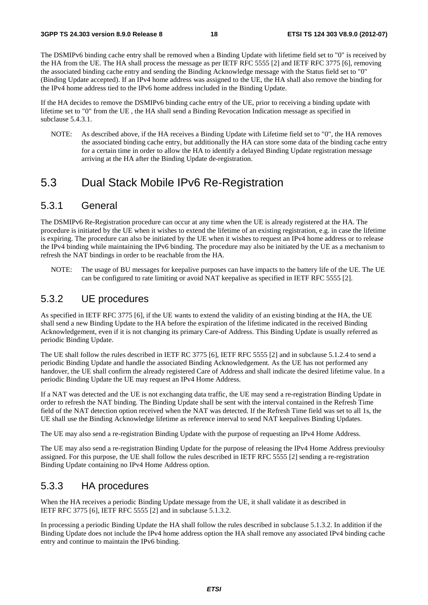The DSMIPv6 binding cache entry shall be removed when a Binding Update with lifetime field set to "0" is received by the HA from the UE. The HA shall process the message as per IETF RFC 5555 [2] and IETF RFC 3775 [6], removing the associated binding cache entry and sending the Binding Acknowledge message with the Status field set to "0" (Binding Update accepted). If an IPv4 home address was assigned to the UE, the HA shall also remove the binding for the IPv4 home address tied to the IPv6 home address included in the Binding Update.

If the HA decides to remove the DSMIPv6 binding cache entry of the UE, prior to receiving a binding update with lifetime set to "0" from the UE , the HA shall send a Binding Revocation Indication message as specified in subclause 5.4.3.1.

NOTE: As described above, if the HA receives a Binding Update with Lifetime field set to "0", the HA removes the associated binding cache entry, but additionally the HA can store some data of the binding cache entry for a certain time in order to allow the HA to identify a delayed Binding Update registration message arriving at the HA after the Binding Update de-registration.

### 5.3 Dual Stack Mobile IPv6 Re-Registration

#### 5.3.1 General

The DSMIPv6 Re-Registration procedure can occur at any time when the UE is already registered at the HA. The procedure is initiated by the UE when it wishes to extend the lifetime of an existing registration, e.g. in case the lifetime is expiring. The procedure can also be initiated by the UE when it wishes to request an IPv4 home address or to release the IPv4 binding while maintaining the IPv6 binding. The procedure may also be initiated by the UE as a mechanism to refresh the NAT bindings in order to be reachable from the HA.

NOTE: The usage of BU messages for keepalive purposes can have impacts to the battery life of the UE. The UE can be configured to rate limiting or avoid NAT keepalive as specified in IETF RFC 5555 [2].

### 5.3.2 UE procedures

As specified in IETF RFC 3775 [6], if the UE wants to extend the validity of an existing binding at the HA, the UE shall send a new Binding Update to the HA before the expiration of the lifetime indicated in the received Binding Acknowledgement, even if it is not changing its primary Care-of Address. This Binding Update is usually referred as periodic Binding Update.

The UE shall follow the rules described in IETF RC 3775 [6], IETF RFC 5555 [2] and in subclause 5.1.2.4 to send a periodic Binding Update and handle the associated Binding Acknowledgement. As the UE has not performed any handover, the UE shall confirm the already registered Care of Address and shall indicate the desired lifetime value. In a periodic Binding Update the UE may request an IPv4 Home Address.

If a NAT was detected and the UE is not exchanging data traffic, the UE may send a re-registration Binding Update in order to refresh the NAT binding. The Binding Update shall be sent with the interval contained in the Refresh Time field of the NAT detection option received when the NAT was detected. If the Refresh Time field was set to all 1s, the UE shall use the Binding Acknowledge lifetime as reference interval to send NAT keepalives Binding Updates.

The UE may also send a re-registration Binding Update with the purpose of requesting an IPv4 Home Address.

The UE may also send a re-registration Binding Update for the purpose of releasing the IPv4 Home Address previoulsy assigned. For this purpose, the UE shall follow the rules described in IETF RFC 5555 [2] sending a re-registration Binding Update containing no IPv4 Home Address option.

#### 5.3.3 HA procedures

When the HA receives a periodic Binding Update message from the UE, it shall validate it as described in IETF RFC 3775 [6], IETF RFC 5555 [2] and in subclause 5.1.3.2.

In processing a periodic Binding Update the HA shall follow the rules described in subclause 5.1.3.2. In addition if the Binding Update does not include the IPv4 home address option the HA shall remove any associated IPv4 binding cache entry and continue to maintain the IPv6 binding.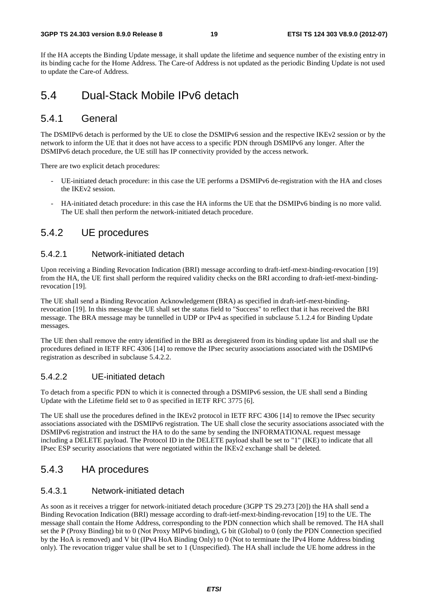#### **3GPP TS 24.303 version 8.9.0 Release 8 19 ETSI TS 124 303 V8.9.0 (2012-07)**

If the HA accepts the Binding Update message, it shall update the lifetime and sequence number of the existing entry in its binding cache for the Home Address. The Care-of Address is not updated as the periodic Binding Update is not used to update the Care-of Address.

### 5.4 Dual-Stack Mobile IPv6 detach

### 5.4.1 General

The DSMIPv6 detach is performed by the UE to close the DSMIPv6 session and the respective IKEv2 session or by the network to inform the UE that it does not have access to a specific PDN through DSMIPv6 any longer. After the DSMIPv6 detach procedure, the UE still has IP connectivity provided by the access network.

There are two explicit detach procedures:

- UE-initiated detach procedure: in this case the UE performs a DSMIPv6 de-registration with the HA and closes the IKEv2 session.
- HA-initiated detach procedure: in this case the HA informs the UE that the DSMIPv6 binding is no more valid. The UE shall then perform the network-initiated detach procedure.

#### 5.4.2 UE procedures

#### 5.4.2.1 Network-initiated detach

Upon receiving a Binding Revocation Indication (BRI) message according to draft-ietf-mext-binding-revocation [19] from the HA, the UE first shall perform the required validity checks on the BRI according to draft-ietf-mext-bindingrevocation [19].

The UE shall send a Binding Revocation Acknowledgement (BRA) as specified in draft-ietf-mext-bindingrevocation [19]. In this message the UE shall set the status field to "Success" to reflect that it has received the BRI message. The BRA message may be tunnelled in UDP or IPv4 as specified in subclause 5.1.2.4 for Binding Update messages.

The UE then shall remove the entry identified in the BRI as deregistered from its binding update list and shall use the procedures defined in IETF RFC 4306 [14] to remove the IPsec security associations associated with the DSMIPv6 registration as described in subclause 5.4.2.2.

#### 5.4.2.2 UE-initiated detach

To detach from a specific PDN to which it is connected through a DSMIPv6 session, the UE shall send a Binding Update with the Lifetime field set to 0 as specified in IETF RFC 3775 [6].

The UE shall use the procedures defined in the IKEv2 protocol in IETF RFC 4306 [14] to remove the IPsec security associations associated with the DSMIPv6 registration. The UE shall close the security associations associated with the DSMIPv6 registration and instruct the HA to do the same by sending the INFORMATIONAL request message including a DELETE payload. The Protocol ID in the DELETE payload shall be set to "1" (IKE) to indicate that all IPsec ESP security associations that were negotiated within the IKEv2 exchange shall be deleted.

#### 5.4.3 HA procedures

#### 5.4.3.1 Network-initiated detach

As soon as it receives a trigger for network-initiated detach procedure (3GPP TS 29.273 [20]) the HA shall send a Binding Revocation Indication (BRI) message according to draft-ietf-mext-binding-revocation [19] to the UE. The message shall contain the Home Address, corresponding to the PDN connection which shall be removed. The HA shall set the P (Proxy Binding) bit to 0 (Not Proxy MIPv6 binding), G bit (Global) to 0 (only the PDN Connection specified by the HoA is removed) and V bit (IPv4 HoA Binding Only) to 0 (Not to terminate the IPv4 Home Address binding only). The revocation trigger value shall be set to 1 (Unspecified). The HA shall include the UE home address in the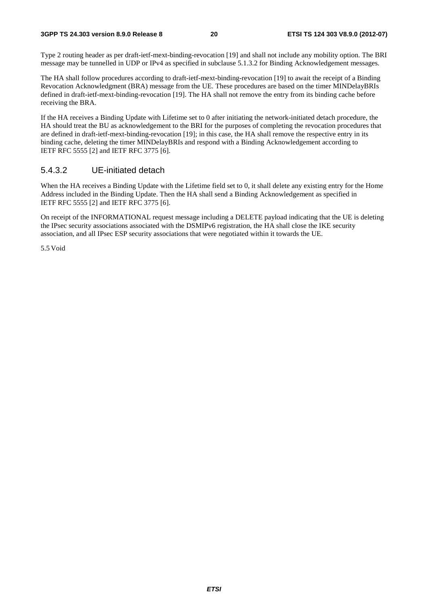#### **3GPP TS 24.303 version 8.9.0 Release 8 20 ETSI TS 124 303 V8.9.0 (2012-07)**

Type 2 routing header as per draft-ietf-mext-binding-revocation [19] and shall not include any mobility option. The BRI message may be tunnelled in UDP or IPv4 as specified in subclause 5.1.3.2 for Binding Acknowledgement messages.

The HA shall follow procedures according to draft-ietf-mext-binding-revocation [19] to await the receipt of a Binding Revocation Acknowledgment (BRA) message from the UE. These procedures are based on the timer MINDelayBRIs defined in draft-ietf-mext-binding-revocation [19]. The HA shall not remove the entry from its binding cache before receiving the BRA.

If the HA receives a Binding Update with Lifetime set to 0 after initiating the network-initiated detach procedure, the HA should treat the BU as acknowledgement to the BRI for the purposes of completing the revocation procedures that are defined in draft-ietf-mext-binding-revocation [19]; in this case, the HA shall remove the respective entry in its binding cache, deleting the timer MINDelayBRIs and respond with a Binding Acknowledgement according to IETF RFC 5555 [2] and IETF RFC 3775 [6].

#### 5.4.3.2 UE-initiated detach

When the HA receives a Binding Update with the Lifetime field set to 0, it shall delete any existing entry for the Home Address included in the Binding Update. Then the HA shall send a Binding Acknowledgement as specified in IETF RFC 5555 [2] and IETF RFC 3775 [6].

On receipt of the INFORMATIONAL request message including a DELETE payload indicating that the UE is deleting the IPsec security associations associated with the DSMIPv6 registration, the HA shall close the IKE security association, and all IPsec ESP security associations that were negotiated within it towards the UE.

5.5 Void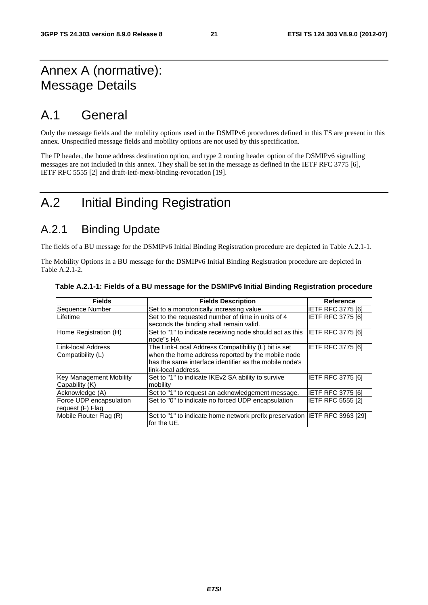### Annex A (normative): Message Details

### A.1 General

Only the message fields and the mobility options used in the DSMIPv6 procedures defined in this TS are present in this annex. Unspecified message fields and mobility options are not used by this specification.

The IP header, the home address destination option, and type 2 routing header option of the DSMIPv6 signalling messages are not included in this annex. They shall be set in the message as defined in the IETF RFC 3775 [6], IETF RFC 5555 [2] and draft-ietf-mext-binding-revocation [19].

### A.2 Initial Binding Registration

### A.2.1 Binding Update

The fields of a BU message for the DSMIPv6 Initial Binding Registration procedure are depicted in Table A.2.1-1.

The Mobility Options in a BU message for the DSMIPv6 Initial Binding Registration procedure are depicted in Table A.2.1-2.

| <b>Fields</b>                               | <b>Fields Description</b>                                                                                                                                                                 | <b>Reference</b>         |
|---------------------------------------------|-------------------------------------------------------------------------------------------------------------------------------------------------------------------------------------------|--------------------------|
| Sequence Number                             | Set to a monotonically increasing value.                                                                                                                                                  | <b>IETF RFC 3775 [6]</b> |
| Lifetime                                    | Set to the requested number of time in units of 4<br>seconds the binding shall remain valid.                                                                                              | <b>IETF RFC 3775 [6]</b> |
| Home Registration (H)                       | Set to "1" to indicate receiving node should act as this<br>node"s HA                                                                                                                     | IETF RFC 3775 [6]        |
| Link-local Address<br>Compatibility (L)     | The Link-Local Address Compatibility (L) bit is set<br>when the home address reported by the mobile node<br>has the same interface identifier as the mobile node's<br>link-local address. | IETF RFC 3775 [6]        |
| Key Management Mobility<br>Capability (K)   | Set to "1" to indicate IKEv2 SA ability to survive<br>mobility                                                                                                                            | <b>IETF RFC 3775 [6]</b> |
| Acknowledge (A)                             | Set to "1" to request an acknowledgement message.                                                                                                                                         | <b>IETF RFC 3775 [6]</b> |
| Force UDP encapsulation<br>request (F) Flag | Set to "0" to indicate no forced UDP encapsulation                                                                                                                                        | <b>IETF RFC 5555 [2]</b> |
| Mobile Router Flag (R)                      | Set to "1" to indicate home network prefix preservation IETF RFC 3963 [29]<br>for the UE.                                                                                                 |                          |

|  | Table A.2.1-1: Fields of a BU message for the DSMIPv6 Initial Binding Registration procedure |  |  |
|--|----------------------------------------------------------------------------------------------|--|--|
|  |                                                                                              |  |  |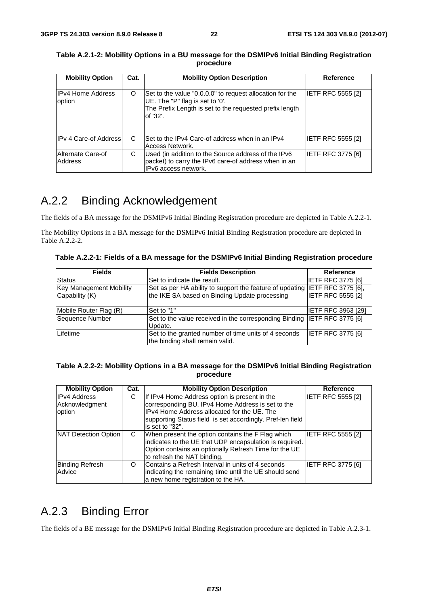| <b>Mobility Option</b>             | Cat. | <b>Mobility Option Description</b>                                                                                                                                 | <b>Reference</b>         |
|------------------------------------|------|--------------------------------------------------------------------------------------------------------------------------------------------------------------------|--------------------------|
|                                    |      |                                                                                                                                                                    |                          |
| <b>IPv4 Home Address</b><br>option | O    | Set to the value "0.0.0.0" to request allocation for the<br>UE. The "P" flag is set to '0'.<br>The Prefix Length is set to the requested prefix length<br>of '32'. | <b>IETF RFC 5555 [2]</b> |
| <b>IPv 4 Care-of Address</b>       | C    | Set to the IPv4 Care-of address when in an IPv4<br>Access Network.                                                                                                 | <b>IETF RFC 5555 [2]</b> |
| Alternate Care-of<br>Address       | С    | Used (in addition to the Source address of the IPv6<br>packet) to carry the IPv6 care-of address when in an<br>IPv6 access network.                                | <b>IETF RFC 3775 [6]</b> |

**Table A.2.1-2: Mobility Options in a BU message for the DSMIPv6 Initial Binding Registration procedure** 

### A.2.2 Binding Acknowledgement

The fields of a BA message for the DSMIPv6 Initial Binding Registration procedure are depicted in Table A.2.2-1.

The Mobility Options in a BA message for the DSMIPv6 Initial Binding Registration procedure are depicted in Table A.2.2-2.

**Table A.2.2-1: Fields of a BA message for the DSMIPv6 Initial Binding Registration procedure** 

| <b>Fields</b>                                    | <b>Fields Description</b>                                                                                                    | Reference                 |
|--------------------------------------------------|------------------------------------------------------------------------------------------------------------------------------|---------------------------|
| <b>Status</b>                                    | Set to indicate the result.                                                                                                  | <b>IETF RFC 3775 [6]</b>  |
| <b>Key Management Mobility</b><br>Capability (K) | Set as per HA ability to support the feature of updating IETF RFC 3775 [6],<br>the IKE SA based on Binding Update processing | <b>IETF RFC 5555 [2]</b>  |
| Mobile Router Flag (R)                           | Set to "1"                                                                                                                   | <b>IETF RFC 3963 [29]</b> |
| Sequence Number                                  | Set to the value received in the corresponding Binding IETF RFC 3775 [6]<br>Update.                                          |                           |
| Lifetime                                         | Set to the granted number of time units of 4 seconds<br>the binding shall remain valid.                                      | <b>IETF RFC 3775 [6]</b>  |

#### **Table A.2.2-2: Mobility Options in a BA message for the DSMIPv6 Initial Binding Registration procedure**

| <b>Mobility Option</b>                          | Cat. | <b>Mobility Option Description</b>                                                                                                                                                                                                 | Reference         |
|-------------------------------------------------|------|------------------------------------------------------------------------------------------------------------------------------------------------------------------------------------------------------------------------------------|-------------------|
| <b>IPv4 Address</b><br>Acknowledgment<br>option | С    | If IPv4 Home Address option is present in the<br>corresponding BU, IPv4 Home Address is set to the<br>IPv4 Home Address allocated for the UE. The<br>supporting Status field is set accordingly. Pref-len field<br>is set to "32". | IETF RFC 5555 [2] |
| NAT Detection Option                            | C    | When present the option contains the F Flag which<br>indicates to the UE that UDP encapsulation is required.<br>Option contains an optionally Refresh Time for the UE<br>to refresh the NAT binding.                               | IETF RFC 5555 [2] |
| <b>Binding Refresh</b><br>Advice                | O    | Contains a Refresh Interval in units of 4 seconds<br>indicating the remaining time until the UE should send<br>a new home registration to the HA.                                                                                  | IETF RFC 3775 [6] |

### A.2.3 Binding Error

The fields of a BE message for the DSMIPv6 Initial Binding Registration procedure are depicted in Table A.2.3-1.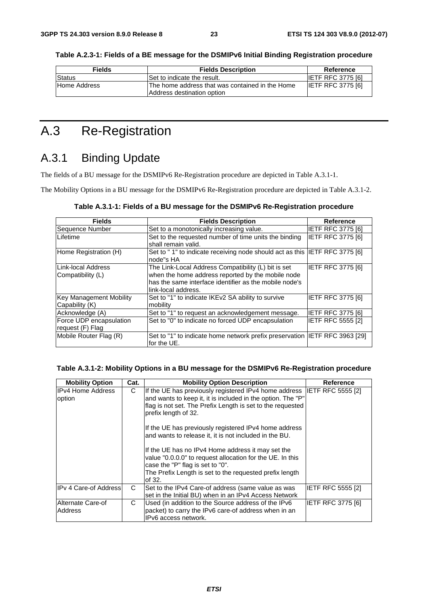| <b>Fields</b> | <b>Fields Description</b>                                                      | Reference                |
|---------------|--------------------------------------------------------------------------------|--------------------------|
| <b>Status</b> | ISet to indicate the result.                                                   | <b>IETF RFC 3775 [6]</b> |
| Home Address  | IThe home address that was contained in the Home<br>Address destination option | <b>IETF RFC 3775 [6]</b> |

**Table A.2.3-1: Fields of a BE message for the DSMIPv6 Initial Binding Registration procedure** 

### A.3 Re-Registration

### A.3.1 Binding Update

The fields of a BU message for the DSMIPv6 Re-Registration procedure are depicted in Table A.3.1-1.

Address destination option

The Mobility Options in a BU message for the DSMIPv6 Re-Registration procedure are depicted in Table A.3.1-2.

| <b>Fields</b>                                    | <b>Fields Description</b>                                                                                                                                                                 | Reference                |
|--------------------------------------------------|-------------------------------------------------------------------------------------------------------------------------------------------------------------------------------------------|--------------------------|
| Sequence Number                                  | Set to a monotonically increasing value.                                                                                                                                                  | <b>IETF RFC 3775 [6]</b> |
| Lifetime                                         | Set to the requested number of time units the binding<br>shall remain valid.                                                                                                              | <b>IETF RFC 3775 [6]</b> |
| Home Registration (H)                            | Set to "1" to indicate receiving node should act as this IETF RFC 3775 [6]<br>node"s HA                                                                                                   |                          |
| Link-local Address<br> Compatibility (L)         | The Link-Local Address Compatibility (L) bit is set<br>when the home address reported by the mobile node<br>has the same interface identifier as the mobile node's<br>link-local address. | <b>IETF RFC 3775 [6]</b> |
| <b>Key Management Mobility</b><br>Capability (K) | Set to "1" to indicate IKEv2 SA ability to survive<br>mobility                                                                                                                            | <b>IETF RFC 3775 [6]</b> |
| Acknowledge (A)                                  | Set to "1" to request an acknowledgement message.                                                                                                                                         | <b>IETF RFC 3775 [6]</b> |
| Force UDP encapsulation<br>request (F) Flag      | Set to "0" to indicate no forced UDP encapsulation                                                                                                                                        | <b>IETF RFC 5555 [2]</b> |
| Mobile Router Flag (R)                           | Set to "1" to indicate home network prefix preservation  IETF RFC 3963 [29]<br>for the UE.                                                                                                |                          |

#### **Table A.3.1-2: Mobility Options in a BU message for the DSMIPv6 Re-Registration procedure**

| <b>Mobility Option</b>              | Cat. | <b>Mobility Option Description</b>                                                                                                                                                                                                                                                                                                              | Reference                |
|-------------------------------------|------|-------------------------------------------------------------------------------------------------------------------------------------------------------------------------------------------------------------------------------------------------------------------------------------------------------------------------------------------------|--------------------------|
| <b>IIPv4 Home Address</b><br>option | C    | If the UE has previously registered IPv4 home address IETF RFC 5555 [2]<br>and wants to keep it, it is included in the option. The "P"<br>flag is not set. The Prefix Length is set to the requested<br>prefix length of 32.<br>If the UE has previously registered IPv4 home address<br>and wants to release it, it is not included in the BU. |                          |
|                                     |      | If the UE has no IPv4 Home address it may set the<br>value "0.0.0.0" to request allocation for the UE. In this<br>case the "P" flag is set to "0".<br>The Prefix Length is set to the requested prefix length<br>of 32.                                                                                                                         |                          |
| <b>IPv 4 Care-of Address</b>        | C    | Set to the IPv4 Care-of address (same value as was<br>set in the Initial BU) when in an IPv4 Access Network                                                                                                                                                                                                                                     | <b>IETF RFC 5555 [2]</b> |
| Alternate Care-of<br>Address        | C    | Used (in addition to the Source address of the IPv6<br>packet) to carry the IPv6 care-of address when in an<br>IPv6 access network.                                                                                                                                                                                                             | IETF RFC 3775 [6]        |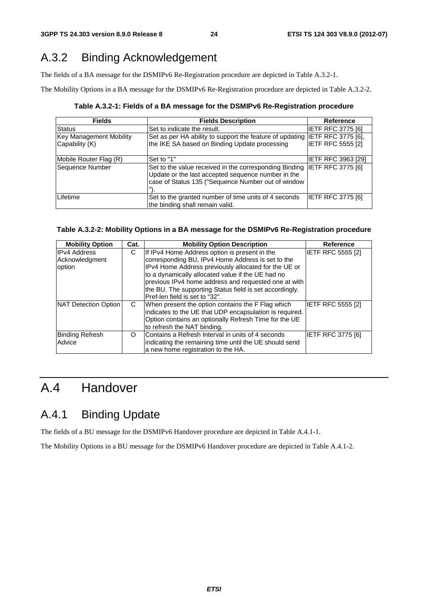### A.3.2 Binding Acknowledgement

The fields of a BA message for the DSMIPv6 Re-Registration procedure are depicted in Table A.3.2-1.

The Mobility Options in a BA message for the DSMIPv6 Re-Registration procedure are depicted in Table A.3.2-2.

**Table A.3.2-1: Fields of a BA message for the DSMIPv6 Re-Registration procedure** 

| <b>Fields</b>                                    | <b>Fields Description</b>                                                                                                                                                            | <b>Reference</b>         |
|--------------------------------------------------|--------------------------------------------------------------------------------------------------------------------------------------------------------------------------------------|--------------------------|
| <b>Status</b>                                    | Set to indicate the result.                                                                                                                                                          | <b>IETF RFC 3775 [6]</b> |
| <b>Key Management Mobility</b><br>Capability (K) | Set as per HA ability to support the feature of updating IETF RFC 3775 [6],<br>the IKE SA based on Binding Update processing                                                         | <b>IETF RFC 5555 [2]</b> |
| Mobile Router Flag (R)                           | Set to "1"                                                                                                                                                                           | IETF RFC 3963 [29]       |
| Sequence Number                                  | Set to the value received in the corresponding Binding IETF RFC 3775 [6]<br>Update or the last accepted sequence number in the<br>case of Status 135 ("Sequence Number out of window |                          |
| Lifetime                                         | Set to the granted number of time units of 4 seconds<br>the binding shall remain valid.                                                                                              | <b>IETF RFC 3775 [6]</b> |

#### **Table A.3.2-2: Mobility Options in a BA message for the DSMIPv6 Re-Registration procedure**

| <b>Mobility Option</b> | Cat. | <b>Mobility Option Description</b>                      | <b>Reference</b>         |
|------------------------|------|---------------------------------------------------------|--------------------------|
| <b>IPv4 Address</b>    | С    | If IPv4 Home Address option is present in the           | IETF RFC 5555 [2]        |
| Acknowledgment         |      | corresponding BU, IPv4 Home Address is set to the       |                          |
| option                 |      | IPv4 Home Address previously allocated for the UE or    |                          |
|                        |      | to a dynamically allocated value if the UE had no       |                          |
|                        |      | previous IPv4 home address and requested one at with    |                          |
|                        |      | the BU. The supporting Status field is set accordingly. |                          |
|                        |      | Pref-len field is set to "32".                          |                          |
| NAT Detection Option   | C    | When present the option contains the F Flag which       | IETF RFC 5555 [2]        |
|                        |      | indicates to the UE that UDP encapsulation is required. |                          |
|                        |      | Option contains an optionally Refresh Time for the UE   |                          |
|                        |      | to refresh the NAT binding.                             |                          |
| <b>Binding Refresh</b> | O    | Contains a Refresh Interval in units of 4 seconds       | <b>IETF RFC 3775 [6]</b> |
| Advice                 |      | indicating the remaining time until the UE should send  |                          |
|                        |      | a new home registration to the HA.                      |                          |

### A.4 Handover

### A.4.1 Binding Update

The fields of a BU message for the DSMIPv6 Handover procedure are depicted in Table A.4.1-1.

The Mobility Options in a BU message for the DSMIPv6 Handover procedure are depicted in Table A.4.1-2.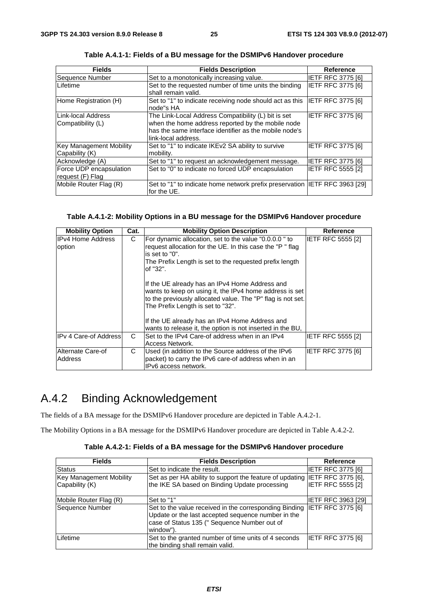| <b>Fields</b>                                    | <b>Fields Description</b>                                                                                                                                                                 | <b>Reference</b>         |
|--------------------------------------------------|-------------------------------------------------------------------------------------------------------------------------------------------------------------------------------------------|--------------------------|
| Sequence Number                                  | Set to a monotonically increasing value.                                                                                                                                                  | <b>IETF RFC 3775 [6]</b> |
| Lifetime                                         | Set to the requested number of time units the binding<br>shall remain valid.                                                                                                              | <b>IETF RFC 3775 [6]</b> |
| Home Registration (H)                            | Set to "1" to indicate receiving node should act as this IETF RFC 3775 [6]<br>node"s HA                                                                                                   |                          |
| Link-local Address<br>Compatibility (L)          | The Link-Local Address Compatibility (L) bit is set<br>when the home address reported by the mobile node<br>has the same interface identifier as the mobile node's<br>link-local address. | <b>IETF RFC 3775 [6]</b> |
| <b>Key Management Mobility</b><br>Capability (K) | Set to "1" to indicate IKEv2 SA ability to survive<br>mobility.                                                                                                                           | IETF RFC 3775 [6]        |
| Acknowledge (A)                                  | Set to "1" to request an acknowledgement message.                                                                                                                                         | <b>IETF RFC 3775 [6]</b> |
| Force UDP encapsulation<br>request (F) Flag      | Set to "0" to indicate no forced UDP encapsulation                                                                                                                                        | <b>IETF RFC 5555 [2]</b> |
| Mobile Router Flag (R)                           | Set to "1" to indicate home network prefix preservation IETF RFC 3963 [29]<br>for the UE.                                                                                                 |                          |

**Table A.4.1-1: Fields of a BU message for the DSMIPv6 Handover procedure** 

#### **Table A.4.1-2: Mobility Options in a BU message for the DSMIPv6 Handover procedure**

| <b>Mobility Option</b>              | Cat. | <b>Mobility Option Description</b>                                                                                                                                                                                                                              | <b>Reference</b>         |
|-------------------------------------|------|-----------------------------------------------------------------------------------------------------------------------------------------------------------------------------------------------------------------------------------------------------------------|--------------------------|
| <b>IPv4 Home Address</b><br>option  | C    | For dynamic allocation, set to the value "0.0.0.0" to<br>request allocation for the UE. In this case the "P" flag<br>is set to $"0"$ .<br>The Prefix Length is set to the requested prefix length<br>lof "32".                                                  | <b>IETF RFC 5555 [2]</b> |
|                                     |      | If the UE already has an IPv4 Home Address and<br>wants to keep on using it, the IPv4 home address is set<br>to the previously allocated value. The "P" flag is not set.<br>The Prefix Length is set to "32".<br>If the UE already has an IPv4 Home Address and |                          |
|                                     |      | wants to release it, the option is not inserted in the BU,                                                                                                                                                                                                      |                          |
| IPv 4 Care-of Address               | C    | Set to the IPv4 Care-of address when in an IPv4<br>Access Network.                                                                                                                                                                                              | IETF RFC 5555 [2]        |
| Alternate Care-of<br><b>Address</b> | С    | Used (in addition to the Source address of the IPv6<br>packet) to carry the IPv6 care-of address when in an<br>IPv6 access network.                                                                                                                             | IETF RFC 3775 [6]        |

### A.4.2 Binding Acknowledgement

The fields of a BA message for the DSMIPv6 Handover procedure are depicted in Table A.4.2-1.

The Mobility Options in a BA message for the DSMIPv6 Handover procedure are depicted in Table A.4.2-2.

|  | Table A.4.2-1: Fields of a BA message for the DSMIPv6 Handover procedure |
|--|--------------------------------------------------------------------------|
|--|--------------------------------------------------------------------------|

| <b>Fields</b>                  | <b>Fields Description</b>                                                                                                                                                 | <b>Reference</b>          |
|--------------------------------|---------------------------------------------------------------------------------------------------------------------------------------------------------------------------|---------------------------|
| Status                         | Set to indicate the result.                                                                                                                                               | <b>IETF RFC 3775 [6]</b>  |
| <b>Key Management Mobility</b> | Set as per HA ability to support the feature of updating IETF RFC 3775 [6],                                                                                               |                           |
| Capability (K)                 | the IKE SA based on Binding Update processing                                                                                                                             | IETF RFC 5555 [2]         |
| Mobile Router Flag (R)         | Set to "1"                                                                                                                                                                | <b>IETF RFC 3963 [29]</b> |
| Sequence Number                | Set to the value received in the corresponding Binding<br>Update or the last accepted sequence number in the<br>case of Status 135 (" Sequence Number out of<br>window"). | <b>IETF RFC 3775 [6]</b>  |
| Lifetime                       | Set to the granted number of time units of 4 seconds<br>the binding shall remain valid.                                                                                   | IETF RFC 3775 [6]         |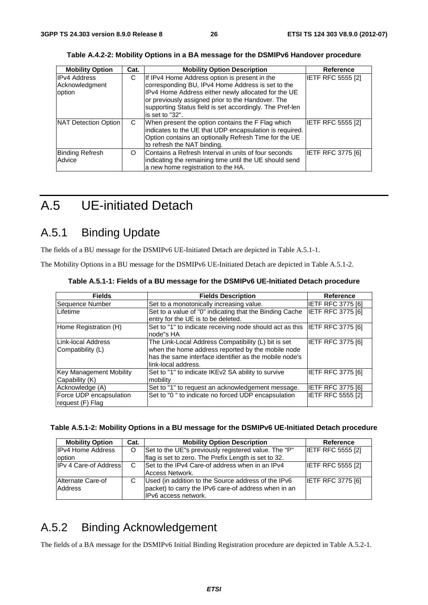| <b>Mobility Option</b> | Cat. | <b>Mobility Option Description</b>                       | Reference                |
|------------------------|------|----------------------------------------------------------|--------------------------|
| <b>IPv4 Address</b>    | С    | If IPv4 Home Address option is present in the            | <b>IETF RFC 5555 [2]</b> |
| Acknowledgment         |      | corresponding BU, IPv4 Home Address is set to the        |                          |
| option                 |      | IPv4 Home Address either newly allocated for the UE      |                          |
|                        |      | or previously assigned prior to the Handover. The        |                          |
|                        |      | supporting Status field is set accordingly. The Pref-len |                          |
|                        |      | is set to "32".                                          |                          |
| NAT Detection Option   | C    | When present the option contains the F Flag which        | <b>IETF RFC 5555 [2]</b> |
|                        |      | indicates to the UE that UDP encapsulation is required.  |                          |
|                        |      | Option contains an optionally Refresh Time for the UE    |                          |
|                        |      | to refresh the NAT binding.                              |                          |
| <b>Binding Refresh</b> | O    | Contains a Refresh Interval in units of four seconds     | <b>IETF RFC 3775 [6]</b> |
| Advice                 |      | indicating the remaining time until the UE should send   |                          |
|                        |      | a new home registration to the HA.                       |                          |

**Table A.4.2-2: Mobility Options in a BA message for the DSMIPv6 Handover procedure** 

### A.5 UE-initiated Detach

### A.5.1 Binding Update

The fields of a BU message for the DSMIPv6 UE-Initiated Detach are depicted in Table A.5.1-1.

The Mobility Options in a BU message for the DSMIPv6 UE-Initiated Detach are depicted in Table A.5.1-2.

| <b>Fields</b>                                    | <b>Fields Description</b>                                                                                                                                                                 | Reference                |
|--------------------------------------------------|-------------------------------------------------------------------------------------------------------------------------------------------------------------------------------------------|--------------------------|
| Sequence Number                                  | Set to a monotonically increasing value.                                                                                                                                                  | IETF RFC 3775 [6]        |
| Lifetime                                         | Set to a value of "0" indicating that the Binding Cache<br>entry for the UE is to be deleted.                                                                                             | IETF RFC 3775 [6]        |
| Home Registration (H)                            | Set to "1" to indicate receiving node should act as this<br>node"s HA                                                                                                                     | <b>IETF RFC 3775 [6]</b> |
| LLink-local Address<br>Compatibility (L)         | The Link-Local Address Compatibility (L) bit is set<br>when the home address reported by the mobile node<br>has the same interface identifier as the mobile node's<br>link-local address. | <b>IETF RFC 3775 [6]</b> |
| <b>Key Management Mobility</b><br>Capability (K) | Set to "1" to indicate IKEv2 SA ability to survive<br>mobility                                                                                                                            | <b>IETF RFC 3775 [6]</b> |
| Acknowledge (A)                                  | Set to "1" to request an acknowledgement message.                                                                                                                                         | <b>IETF RFC 3775 [6]</b> |
| Force UDP encapsulation<br>request (F) Flag      | Set to "0" to indicate no forced UDP encapsulation                                                                                                                                        | <b>IETF RFC 5555 [2]</b> |

**Table A.5.1-1: Fields of a BU message for the DSMIPv6 UE-Initiated Detach procedure** 

| Table A.5.1-2: Mobility Options in a BU message for the DSMIPv6 UE-Initiated Detach procedure |  |  |  |  |  |
|-----------------------------------------------------------------------------------------------|--|--|--|--|--|
|-----------------------------------------------------------------------------------------------|--|--|--|--|--|

| <b>Mobility Option</b>       | Cat. | <b>Mobility Option Description</b>                   | Reference                |
|------------------------------|------|------------------------------------------------------|--------------------------|
| <b>IPv4 Home Address</b>     | O    | Set to the UE"s previously registered value. The "P" | <b>IETF RFC 5555 [2]</b> |
| option                       |      | flag is set to zero. The Prefix Length is set to 32. |                          |
| <b>IPv 4 Care-of Address</b> | C    | Set to the IPv4 Care-of address when in an IPv4      | <b>IETF RFC 5555 [2]</b> |
|                              |      | Access Network.                                      |                          |
| Alternate Care-of            |      | Used (in addition to the Source address of the IPv6  | <b>IETF RFC 3775 [6]</b> |
| Address                      |      | packet) to carry the IPv6 care-of address when in an |                          |
|                              |      | IIPv6 access network.                                |                          |

### A.5.2 Binding Acknowledgement

The fields of a BA message for the DSMIPv6 Initial Binding Registration procedure are depicted in Table A.5.2-1.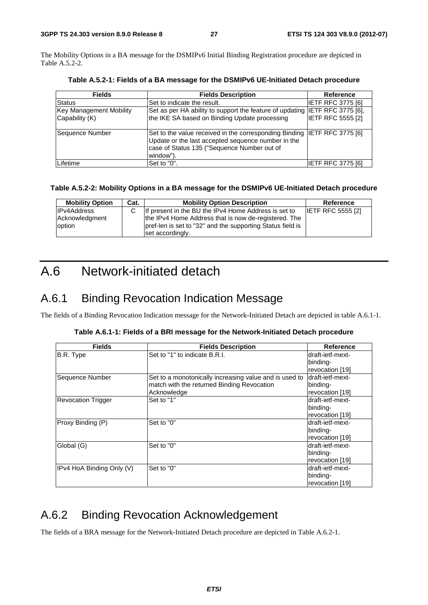The Mobility Options in a BA message for the DSMIPv6 Initial Binding Registration procedure are depicted in Table A.5.2-2.

| <b>Fields</b>                                    | <b>Fields Description</b>                                                                                                                                                                   | <b>Reference</b>         |
|--------------------------------------------------|---------------------------------------------------------------------------------------------------------------------------------------------------------------------------------------------|--------------------------|
| Status                                           | Set to indicate the result.                                                                                                                                                                 | <b>IETF RFC 3775 [6]</b> |
| <b>Key Management Mobility</b><br>Capability (K) | Set as per HA ability to support the feature of updating IETF RFC 3775 [6],<br>the IKE SA based on Binding Update processing                                                                | <b>IETF RFC 5555 [2]</b> |
| Sequence Number                                  | Set to the value received in the corresponding Binding  IETF RFC 3775 [6]<br>Update or the last accepted sequence number in the<br>case of Status 135 ("Sequence Number out of<br>window"). |                          |
| Lifetime                                         | Set to "0".                                                                                                                                                                                 | IETF RFC 3775 [6]        |

**Table A.5.2-1: Fields of a BA message for the DSMIPv6 UE-Initiated Detach procedure** 

#### **Table A.5.2-2: Mobility Options in a BA message for the DSMIPv6 UE-Initiated Detach procedure**

| <b>Mobility Option</b> | Cat. | <b>Mobility Option Description</b>                         | Reference                |
|------------------------|------|------------------------------------------------------------|--------------------------|
| <b>IPv4Address</b>     |      | If present in the BU the IPv4 Home Address is set to       | <b>IETF RFC 5555 [2]</b> |
| Acknowledgment         |      | the IPv4 Home Address that is now de-registered. The       |                          |
| option                 |      | pref-len is set to "32" and the supporting Status field is |                          |
|                        |      | set accordingly.                                           |                          |

### A.6 Network-initiated detach

### A.6.1 Binding Revocation Indication Message

The fields of a Binding Revocation Indication message for the Network-Initiated Detach are depicted in table A.6.1-1.

|  |  | Table A.6.1-1: Fields of a BRI message for the Network-Initiated Detach procedure |
|--|--|-----------------------------------------------------------------------------------|
|  |  |                                                                                   |

| <b>Fields</b>             | <b>Fields Description</b>                              | <b>Reference</b> |
|---------------------------|--------------------------------------------------------|------------------|
| B.R. Type                 | Set to "1" to indicate B.R.I.                          | draft-ietf-mext- |
|                           |                                                        | binding-         |
|                           |                                                        | revocation [19]  |
| Sequence Number           | Set to a monotonically increasing value and is used to | draft-ietf-mext- |
|                           | match with the returned Binding Revocation             | binding-         |
|                           | Acknowledge                                            | revocation [19]  |
| <b>Revocation Trigger</b> | Set to "1"                                             | draft-ietf-mext- |
|                           |                                                        | binding-         |
|                           |                                                        | revocation [19]  |
| Proxy Binding (P)         | Set to "0"                                             | draft-ietf-mext- |
|                           |                                                        | binding-         |
|                           |                                                        | revocation [19]  |
| Global (G)                | Set to "0"                                             | draft-ietf-mext- |
|                           |                                                        | binding-         |
|                           |                                                        | revocation [19]  |
| IPv4 HoA Binding Only (V) | Set to "0"                                             | draft-ietf-mext- |
|                           |                                                        | binding-         |
|                           |                                                        | revocation [19]  |

### A.6.2 Binding Revocation Acknowledgement

The fields of a BRA message for the Network-Initiated Detach procedure are depicted in Table A.6.2-1.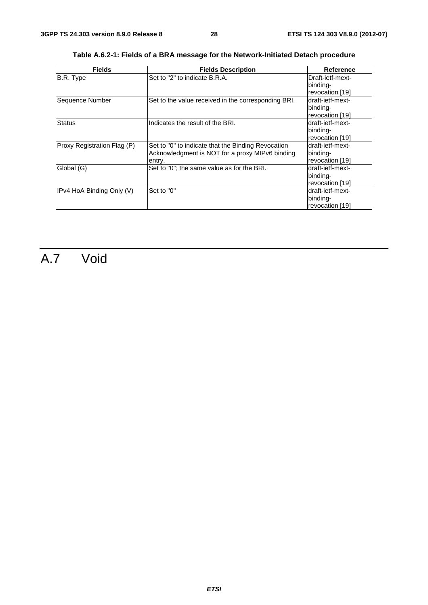| <b>Fields</b>               | <b>Fields Description</b>                           | Reference        |
|-----------------------------|-----------------------------------------------------|------------------|
| B.R. Type                   | Set to "2" to indicate B.R.A.                       | Draft-ietf-mext- |
|                             |                                                     | binding-         |
|                             |                                                     | revocation [19]  |
| Sequence Number             | Set to the value received in the corresponding BRI. | draft-ietf-mext- |
|                             |                                                     | binding-         |
|                             |                                                     | revocation [19]  |
| <b>Status</b>               | Indicates the result of the BRI.                    | draft-ietf-mext- |
|                             |                                                     | binding-         |
|                             |                                                     | revocation [19]  |
| Proxy Registration Flag (P) | Set to "0" to indicate that the Binding Revocation  | draft-ietf-mext- |
|                             | Acknowledgment is NOT for a proxy MIPv6 binding     | binding-         |
|                             | entry.                                              | revocation [19]  |
| Global (G)                  | Set to "0"; the same value as for the BRI.          | draft-ietf-mext- |
|                             |                                                     | binding-         |
|                             |                                                     | revocation [19]  |
| IPv4 HoA Binding Only (V)   | Set to "0"                                          | draft-ietf-mext- |
|                             |                                                     | binding-         |
|                             |                                                     | revocation [19]  |

**Table A.6.2-1: Fields of a BRA message for the Network-Initiated Detach procedure** 

## A.7 Void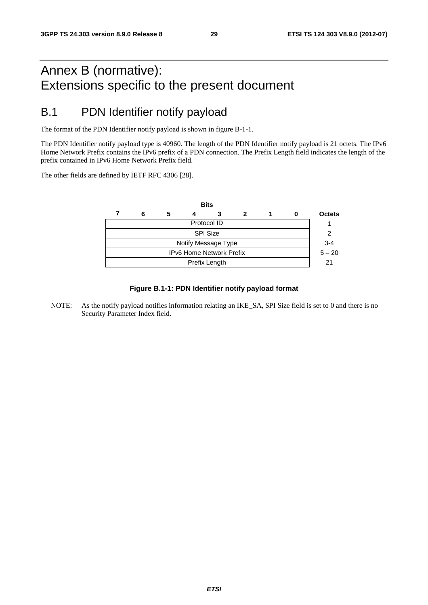### Annex B (normative): Extensions specific to the present document

### B.1 PDN Identifier notify payload

The format of the PDN Identifier notify payload is shown in figure B-1-1.

The PDN Identifier notify payload type is 40960. The length of the PDN Identifier notify payload is 21 octets. The IPv6 Home Network Prefix contains the IPv6 prefix of a PDN connection. The Prefix Length field indicates the length of the prefix contained in IPv6 Home Network Prefix field.

The other fields are defined by IETF RFC 4306 [28].



#### **Figure B.1-1: PDN Identifier notify payload format**

NOTE: As the notify payload notifies information relating an IKE\_SA, SPI Size field is set to 0 and there is no Security Parameter Index field.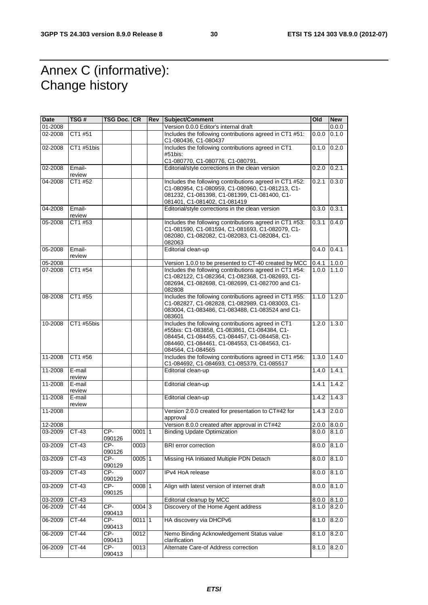### Annex C (informative): Change history

| <b>Date</b> | TSG #            | TSG Doc. CR   |          | Rev | Subject/Comment                                                                                                                                                                                                         | Old   | <b>New</b> |
|-------------|------------------|---------------|----------|-----|-------------------------------------------------------------------------------------------------------------------------------------------------------------------------------------------------------------------------|-------|------------|
| 01-2008     |                  |               |          |     | Version 0.0.0 Editor's internal draft                                                                                                                                                                                   |       | 0.0.0      |
| 02-2008     | CT1 #51          |               |          |     | Includes the following contributions agreed in CT1 #51:<br>C1-080436, C1-080437                                                                                                                                         | 0.0.0 | 0.1.0      |
| 02-2008     | CT1 #51bis       |               |          |     | Includes the following contributions agreed in CT1<br>#51bis:                                                                                                                                                           | 0.1.0 | 0.2.0      |
|             |                  |               |          |     | C1-080770, C1-080776, C1-080791.                                                                                                                                                                                        |       |            |
| 02-2008     | Email-<br>review |               |          |     | Editorial/style corrections in the clean version                                                                                                                                                                        | 0.2.0 | 0.2.1      |
| 04-2008     | CT1 #52          |               |          |     | Includes the following contributions agreed in CT1 #52:<br>C1-080954, C1-080959, C1-080960, C1-081213, C1-<br>081232, C1-081398, C1-081399, C1-081400, C1-<br>081401, C1-081402, C1-081419                              | 0.2.1 | 0.3.0      |
| 04-2008     | Email-<br>review |               |          |     | Editorial/style corrections in the clean version                                                                                                                                                                        | 0.3.0 | 0.3.1      |
| 05-2008     | CT1 #53          |               |          |     | Includes the following contributions agreed in CT1 #53:<br>C1-081590, C1-081594, C1-081693, C1-082079, C1-<br>082080, C1-082082, C1-082083, C1-082084, C1-<br>082063                                                    | 0.3.1 | 0.4.0      |
| 05-2008     | Email-<br>review |               |          |     | Editorial clean-up                                                                                                                                                                                                      | 0.4.0 | 0.4.1      |
| 05-2008     |                  |               |          |     | Version 1.0.0 to be presented to CT-40 created by MCC                                                                                                                                                                   | 0.4.1 | 1.0.0      |
| 07-2008     | CT1 #54          |               |          |     | Includes the following contributions agreed in CT1 #54:<br>C1-082122, C1-082364, C1-082368, C1-082693, C1-<br>082694, C1-082698, C1-082699, C1-082700 and C1-<br>082808                                                 | 1.0.0 | 1.1.0      |
| 08-2008     | CT1 #55          |               |          |     | Includes the following contributions agreed in CT1 #55:<br>C1-082827, C1-082828, C1-082989, C1-083003, C1-<br>083004, C1-083486, C1-083488, C1-083524 and C1-<br>083601                                                 | 1.1.0 | 1.2.0      |
| 10-2008     | CT1 #55bis       |               |          |     | Includes the following contributions agreed in CT1<br>#55bis: C1-083858, C1-083861, C1-084384, C1-<br>084454, C1-084455, C1-084457, C1-084458, C1-<br>084460, C1-084461, C1-084553, C1-084563, C1-<br>084564, C1-084565 | 1.2.0 | 1.3.0      |
| 11-2008     | CT1 #56          |               |          |     | Includes the following contributions agreed in CT1 #56:<br>C1-084692, C1-084693, C1-085379, C1-085517                                                                                                                   | 1.3.0 | 1.4.0      |
| 11-2008     | E-mail<br>review |               |          |     | Editorial clean-up                                                                                                                                                                                                      | 1.4.0 | 1.4.1      |
| 11-2008     | E-mail<br>review |               |          |     | Editorial clean-up                                                                                                                                                                                                      | 1.4.1 | 1.4.2      |
| 11-2008     | E-mail<br>review |               |          |     | Editorial clean-up                                                                                                                                                                                                      | 1.4.2 | 1.4.3      |
| 11-2008     |                  |               |          |     | Version 2.0.0 created for presentation to CT#42 for<br>approval                                                                                                                                                         | 1.4.3 | 2.0.0      |
| 12-2008     |                  |               |          |     | Version 8.0.0 created after approval in CT#42                                                                                                                                                                           | 2.0.0 | 8.0.0      |
| 03-2009     | CT-43            | CP-<br>090126 | 00011    |     | <b>Binding Update Optimization</b>                                                                                                                                                                                      | 8.0.0 | 8.1.0      |
| 03-2009     | $CT-43$          | CP-<br>090126 | 0003     |     | <b>BRI</b> error correction                                                                                                                                                                                             | 8.0.0 | 8.1.0      |
| 03-2009     | CT-43            | CP-<br>090129 | $0005$ 1 |     | Missing HA Initiated Multiple PDN Detach                                                                                                                                                                                | 8.0.0 | 8.1.0      |
| 03-2009     | CT-43            | CP-<br>090129 | 0007     |     | IPv4 HoA release                                                                                                                                                                                                        | 8.0.0 | 8.1.0      |
| 03-2009     | $CT-43$          | CP-<br>090125 | 0008 1   |     | Align with latest version of internet draft                                                                                                                                                                             | 8.0.0 | 8.1.0      |
| 03-2009     | CT-43            |               |          |     | Editorial cleanup by MCC                                                                                                                                                                                                | 8.0.0 | 8.1.0      |
| 06-2009     | CT-44            | CP-<br>090413 | $0004$ 3 |     | Discovery of the Home Agent address                                                                                                                                                                                     | 8.1.0 | 8.2.0      |
| 06-2009     | CT-44            | CP-<br>090413 | 0011 1   |     | HA discovery via DHCPv6                                                                                                                                                                                                 | 8.1.0 | 8.2.0      |
| 06-2009     | CT-44            | CP-<br>090413 | 0012     |     | Nemo Binding Acknowledgement Status value<br>clarification                                                                                                                                                              | 8.1.0 | 8.2.0      |
| 06-2009     | $CT-44$          | CP-<br>090413 | 0013     |     | Alternate Care-of Address correction                                                                                                                                                                                    | 8.1.0 | 8.2.0      |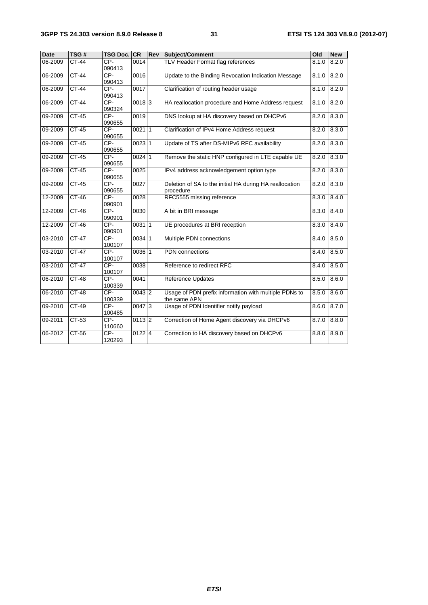| <b>Date</b> | TSG#         | <b>TSG Doc.</b> | <b>CR</b>           | Rev | <b>Subject/Comment</b>                                  | Old   | <b>New</b> |
|-------------|--------------|-----------------|---------------------|-----|---------------------------------------------------------|-------|------------|
| $06 - 2009$ | <b>CT-44</b> | CP-             | 0014                |     | TLV Header Format flag references                       | 8.1.0 | 8.2.0      |
|             |              | 090413          |                     |     |                                                         |       |            |
| 06-2009     | <b>CT-44</b> | $CP-$           | 0016                |     | Update to the Binding Revocation Indication Message     | 8.1.0 | 8.2.0      |
|             |              | 090413          |                     |     |                                                         |       |            |
| 06-2009     | $CT-44$      | $CP-$           | 0017                |     | Clarification of routing header usage                   | 8.1.0 | 8.2.0      |
|             |              | 090413          |                     |     |                                                         |       |            |
| 06-2009     | $CT-44$      | CP-             | $0018$ 3            |     | HA reallocation procedure and Home Address request      | 8.1.0 | 8.2.0      |
|             |              | 090324<br>CP-   |                     |     |                                                         |       |            |
| 09-2009     | $CT-45$      | 090655          | 0019                |     | DNS lookup at HA discovery based on DHCPv6              | 8.2.0 | 8.3.0      |
| 09-2009     | $CT-45$      | $CP-$           | 002111              |     | Clarification of IPv4 Home Address request              | 8.2.0 | 8.3.0      |
|             |              | 090655          |                     |     |                                                         |       |            |
| 09-2009     | $CT-45$      | $CP-$<br>090655 | $0023$ 1            |     | Update of TS after DS-MIPv6 RFC availability            | 8.2.0 | 8.3.0      |
| 09-2009     | $CT-45$      | CP-             | $0024$ 1            |     | Remove the static HNP configured in LTE capable UE      | 8.2.0 | 8.3.0      |
|             |              | 090655          |                     |     |                                                         |       |            |
| 09-2009     | $CT-45$      | CP-             | 0025                |     | IPv4 address acknowledgement option type                | 8.2.0 | 8.3.0      |
|             |              | 090655          |                     |     |                                                         |       |            |
| 09-2009     | $CT-45$      | $CP-$           | 0027                |     | Deletion of SA to the initial HA during HA reallocation | 8.2.0 | 8.3.0      |
|             |              | 090655          |                     |     | procedure                                               |       |            |
| 12-2009     | $CT-46$      | $CP-$           | 0028                |     | RFC5555 missing reference                               | 8.3.0 | 8.4.0      |
|             |              | 090901          |                     |     |                                                         |       |            |
| 12-2009     | $CT-46$      | $CP-$<br>090901 | 0030                |     | A bit in BRI message                                    | 8.3.0 | 8.4.0      |
| 12-2009     | $CT-46$      | $CP-$           | 003111              |     | UE procedures at BRI reception                          | 8.3.0 | 8.4.0      |
|             |              | 090901          |                     |     |                                                         |       |            |
| 03-2010     | $CT-47$      | $CP-$           | $0034$ 1            |     | Multiple PDN connections                                | 8.4.0 | 8.5.0      |
|             |              | 100107          |                     |     |                                                         |       |            |
| 03-2010     | $CT-47$      | $CP-$<br>100107 | 0036 1              |     | PDN connections                                         | 8.4.0 | 8.5.0      |
| 03-2010     | $CT-47$      | $CP-$           | 0038                |     | Reference to redirect RFC                               | 8.4.0 | 8.5.0      |
|             |              | 100107          |                     |     |                                                         |       |            |
| 06-2010     | <b>CT-48</b> | CP-             | 0041                |     | <b>Reference Updates</b>                                | 8.5.0 | 8.6.0      |
|             |              | 100339          |                     |     |                                                         |       |            |
| 06-2010     | $CT-48$      | $CP-$           | $0043$ <sub>2</sub> |     | Usage of PDN prefix information with multiple PDNs to   | 8.5.0 | 8.6.0      |
|             |              | 100339          |                     |     | the same APN                                            |       |            |
| 09-2010     | $CT-49$      | $CP-$           | $0047$ 3            |     | Usage of PDN Identifier notify payload                  | 8.6.0 | 8.7.0      |
|             |              | 100485          |                     |     |                                                         |       |            |
| 09-2011     | $CT-53$      | $CP-$           | $0113$  2           |     | Correction of Home Agent discovery via DHCPv6           | 8.7.0 | 8.8.0      |
|             |              | 110660          |                     |     |                                                         |       |            |
| 06-2012     | CT-56        | CP-             | $0122$ 4            |     | Correction to HA discovery based on DHCPv6              | 8.8.0 | 8.9.0      |
|             |              | 120293          |                     |     |                                                         |       |            |